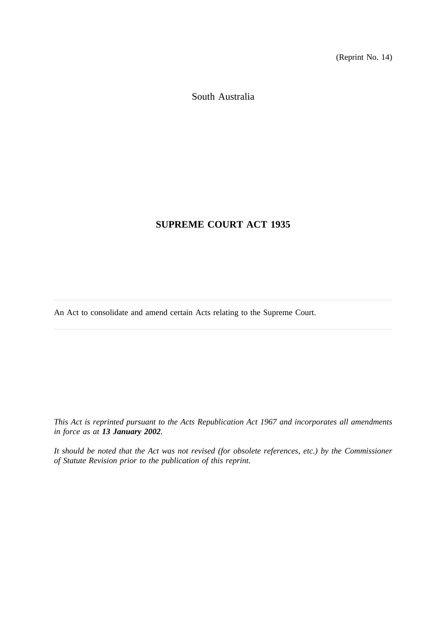(Reprint No. 14)

South Australia

# **SUPREME COURT ACT 1935**

An Act to consolidate and amend certain Acts relating to the Supreme Court.

*This Act is reprinted pursuant to the Acts Republication Act 1967 and incorporates all amendments in force as at 13 January 2002.*

*It should be noted that the Act was not revised (for obsolete references, etc.) by the Commissioner of Statute Revision prior to the publication of this reprint.*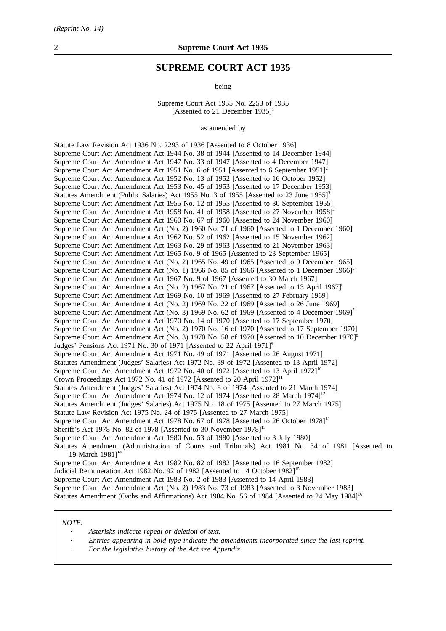## **SUPREME COURT ACT 1935**

being

Supreme Court Act 1935 No. 2253 of 1935 [Assented to 21 December  $1935$ ]<sup>1</sup>

as amended by

Statute Law Revision Act 1936 No. 2293 of 1936 [Assented to 8 October 1936] Supreme Court Act Amendment Act 1944 No. 38 of 1944 [Assented to 14 December 1944] Supreme Court Act Amendment Act 1947 No. 33 of 1947 [Assented to 4 December 1947] Supreme Court Act Amendment Act 1951 No. 6 of 1951 [Assented to 6 September 1951]<sup>2</sup> Supreme Court Act Amendment Act 1952 No. 13 of 1952 [Assented to 16 October 1952] Supreme Court Act Amendment Act 1953 No. 45 of 1953 [Assented to 17 December 1953] Statutes Amendment (Public Salaries) Act 1955 No. 3 of 1955 [Assented to 23 June 1955]<sup>3</sup> Supreme Court Act Amendment Act 1955 No. 12 of 1955 [Assented to 30 September 1955] Supreme Court Act Amendment Act 1958 No. 41 of 1958 [Assented to 27 November 1958]<sup>4</sup> Supreme Court Act Amendment Act 1960 No. 67 of 1960 [Assented to 24 November 1960] Supreme Court Act Amendment Act (No. 2) 1960 No. 71 of 1960 [Assented to 1 December 1960] Supreme Court Act Amendment Act 1962 No. 52 of 1962 [Assented to 15 November 1962] Supreme Court Act Amendment Act 1963 No. 29 of 1963 [Assented to 21 November 1963] Supreme Court Act Amendment Act 1965 No. 9 of 1965 [Assented to 23 September 1965] Supreme Court Act Amendment Act (No. 2) 1965 No. 49 of 1965 [Assented to 9 December 1965] Supreme Court Act Amendment Act (No. 1) 1966 No. 85 of 1966 [Assented to 1 December 1966]<sup>5</sup> Supreme Court Act Amendment Act 1967 No. 9 of 1967 [Assented to 30 March 1967] Supreme Court Act Amendment Act (No. 2) 1967 No. 21 of 1967 [Assented to 13 April 1967]<sup>6</sup> Supreme Court Act Amendment Act 1969 No. 10 of 1969 [Assented to 27 February 1969] Supreme Court Act Amendment Act (No. 2) 1969 No. 22 of 1969 [Assented to 26 June 1969] Supreme Court Act Amendment Act (No. 3) 1969 No. 62 of 1969 [Assented to 4 December 1969]<sup>7</sup> Supreme Court Act Amendment Act 1970 No. 14 of 1970 [Assented to 17 September 1970] Supreme Court Act Amendment Act (No. 2) 1970 No. 16 of 1970 [Assented to 17 September 1970] Supreme Court Act Amendment Act (No. 3) 1970 No. 58 of 1970 [Assented to 10 December 1970]<sup>8</sup> Judges' Pensions Act 1971 No. 30 of 1971 [Assented to 22 April 1971]<sup>9</sup> Supreme Court Act Amendment Act 1971 No. 49 of 1971 [Assented to 26 August 1971] Statutes Amendment (Judges' Salaries) Act 1972 No. 39 of 1972 [Assented to 13 April 1972] Supreme Court Act Amendment Act 1972 No. 40 of 1972 [Assented to 13 April 1972]<sup>10</sup> Crown Proceedings Act 1972 No. 41 of 1972 [Assented to 20 April  $1972$ ]<sup>11</sup> Statutes Amendment (Judges' Salaries) Act 1974 No. 8 of 1974 [Assented to 21 March 1974] Supreme Court Act Amendment Act 1974 No. 12 of 1974 [Assented to 28 March 1974]<sup>12</sup> Statutes Amendment (Judges' Salaries) Act 1975 No. 18 of 1975 [Assented to 27 March 1975] Statute Law Revision Act 1975 No. 24 of 1975 [Assented to 27 March 1975] Supreme Court Act Amendment Act 1978 No. 67 of 1978 [Assented to 26 October 1978]<sup>13</sup> Sheriff's Act 1978 No. 82 of 1978 [Assented to 30 November 1978]<sup>13</sup> Supreme Court Act Amendment Act 1980 No. 53 of 1980 [Assented to 3 July 1980] Statutes Amendment (Administration of Courts and Tribunals) Act 1981 No. 34 of 1981 [Assented to 19 March 1981]<sup>14</sup> Supreme Court Act Amendment Act 1982 No. 82 of 1982 [Assented to 16 September 1982] Judicial Remuneration Act 1982 No. 92 of 1982 [Assented to 14 October 1982]<sup>15</sup> Supreme Court Act Amendment Act 1983 No. 2 of 1983 [Assented to 14 April 1983]

*NOTE:*

- *Asterisks indicate repeal or deletion of text.*
- *Entries appearing in bold type indicate the amendments incorporated since the last reprint.*

Supreme Court Act Amendment Act (No. 2) 1983 No. 73 of 1983 [Assented to 3 November 1983] Statutes Amendment (Oaths and Affirmations) Act 1984 No. 56 of 1984 [Assented to 24 May 1984]<sup>16</sup>

*For the legislative history of the Act see Appendix.*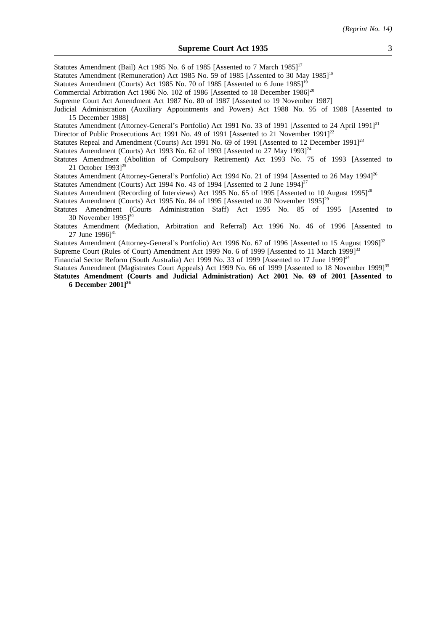Statutes Amendment (Bail) Act 1985 No. 6 of 1985 [Assented to 7 March 1985]<sup>17</sup>

Statutes Amendment (Remuneration) Act 1985 No. 59 of 1985 [Assented to 30 May 1985]<sup>18</sup>

Statutes Amendment (Courts) Act 1985 No. 70 of 1985 [Assented to 6 June 1985]<sup>19</sup>

Commercial Arbitration Act 1986 No. 102 of 1986 [Assented to 18 December 1986]<sup>20</sup>

Supreme Court Act Amendment Act 1987 No. 80 of 1987 [Assented to 19 November 1987]

Judicial Administration (Auxiliary Appointments and Powers) Act 1988 No. 95 of 1988 [Assented to 15 December 1988]

Statutes Amendment (Attorney-General's Portfolio) Act 1991 No. 33 of 1991 [Assented to 24 April 1991]<sup>21</sup>

Director of Public Prosecutions Act 1991 No. 49 of 1991 [Assented to 21 November 1991]<sup>22</sup>

Statutes Repeal and Amendment (Courts) Act 1991 No. 69 of 1991 [Assented to 12 December 1991]<sup>23</sup>

Statutes Amendment (Courts) Act 1993 No. 62 of 1993 [Assented to 27 May 1993]<sup>24</sup>

Statutes Amendment (Abolition of Compulsory Retirement) Act 1993 No. 75 of 1993 [Assented to 21 October 19931<sup>25</sup>

Statutes Amendment (Attorney-General's Portfolio) Act 1994 No. 21 of 1994 [Assented to 26 May 1994]<sup>26</sup>

Statutes Amendment (Courts) Act 1994 No. 43 of 1994 [Assented to 2 June 1994]<sup>27</sup>

Statutes Amendment (Recording of Interviews) Act 1995 No. 65 of 1995 [Assented to 10 August 1995]<sup>28</sup>

Statutes Amendment (Courts) Act 1995 No. 84 of 1995 [Assented to 30 November 1995]<sup>29</sup>

Statutes Amendment (Courts Administration Staff) Act 1995 No. 85 of 1995 [Assented to 30 November 1995 $]^{30}$ 

Statutes Amendment (Mediation, Arbitration and Referral) Act 1996 No. 46 of 1996 [Assented to 27 June 1996]<sup>31</sup>

Statutes Amendment (Attorney-General's Portfolio) Act 1996 No. 67 of 1996 [Assented to 15 August 1996]<sup>32</sup>

Supreme Court (Rules of Court) Amendment Act 1999 No. 6 of 1999 [Assented to 11 March 1999]<sup>33</sup>

Financial Sector Reform (South Australia) Act 1999 No. 33 of 1999 [Assented to 17 June 1999]<sup>34</sup>

Statutes Amendment (Magistrates Court Appeals) Act 1999 No. 66 of 1999 [Assented to 18 November 1999]<sup>35</sup> **Statutes Amendment (Courts and Judicial Administration) Act 2001 No. 69 of 2001 [Assented to**

**6 December 2001]36**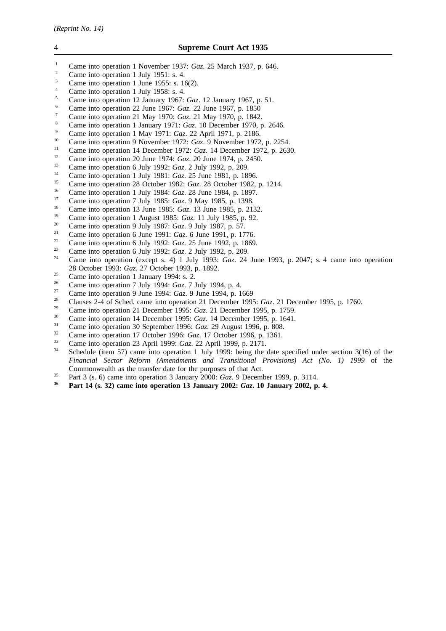| 4              | <b>Supreme Court Act 1935</b>                                                                                                                                                                                                                                                                                       |
|----------------|---------------------------------------------------------------------------------------------------------------------------------------------------------------------------------------------------------------------------------------------------------------------------------------------------------------------|
| $1\,$          | Came into operation 1 November 1937: Gaz. 25 March 1937, p. 646.                                                                                                                                                                                                                                                    |
| $\sqrt{2}$     | Came into operation 1 July 1951: s. 4.                                                                                                                                                                                                                                                                              |
| $\mathfrak{Z}$ | Came into operation 1 June 1955: s. $16(2)$ .                                                                                                                                                                                                                                                                       |
| $\overline{4}$ | Came into operation 1 July 1958: s. 4.                                                                                                                                                                                                                                                                              |
| $\sqrt{5}$     | Came into operation 12 January 1967: Gaz. 12 January 1967, p. 51.                                                                                                                                                                                                                                                   |
| 6              | Came into operation 22 June 1967: Gaz. 22 June 1967, p. 1850                                                                                                                                                                                                                                                        |
| $\tau$         | Came into operation 21 May 1970: Gaz. 21 May 1970, p. 1842.                                                                                                                                                                                                                                                         |
| 8              | Came into operation 1 January 1971: Gaz. 10 December 1970, p. 2646.                                                                                                                                                                                                                                                 |
| 9              | Came into operation 1 May 1971: Gaz. 22 April 1971, p. 2186.                                                                                                                                                                                                                                                        |
| $10\,$         | Came into operation 9 November 1972: Gaz. 9 November 1972, p. 2254.                                                                                                                                                                                                                                                 |
| 11             | Came into operation 14 December 1972: Gaz. 14 December 1972, p. 2630.                                                                                                                                                                                                                                               |
| 12             | Came into operation 20 June 1974: <i>Gaz</i> . 20 June 1974, p. 2450.                                                                                                                                                                                                                                               |
| 13             | Came into operation 6 July 1992: Gaz. 2 July 1992, p. 209.                                                                                                                                                                                                                                                          |
| 14             | Came into operation 1 July 1981: Gaz. 25 June 1981, p. 1896.                                                                                                                                                                                                                                                        |
| 15             | Came into operation 28 October 1982: Gaz. 28 October 1982, p. 1214.                                                                                                                                                                                                                                                 |
| 16             | Came into operation 1 July 1984: Gaz. 28 June 1984, p. 1897.                                                                                                                                                                                                                                                        |
| 17             | Came into operation 7 July 1985: Gaz. 9 May 1985, p. 1398.                                                                                                                                                                                                                                                          |
| 18             | Came into operation 13 June 1985: Gaz. 13 June 1985, p. 2132.                                                                                                                                                                                                                                                       |
| 19             | Came into operation 1 August 1985: Gaz. 11 July 1985, p. 92.                                                                                                                                                                                                                                                        |
| 20             | Came into operation 9 July 1987: Gaz. 9 July 1987, p. 57.                                                                                                                                                                                                                                                           |
| 21             | Came into operation 6 June 1991: Gaz. 6 June 1991, p. 1776.                                                                                                                                                                                                                                                         |
| 22             | Came into operation 6 July 1992: Gaz. 25 June 1992, p. 1869.                                                                                                                                                                                                                                                        |
| 23             | Came into operation 6 July 1992: Gaz. 2 July 1992, p. 209.                                                                                                                                                                                                                                                          |
| 24             | Came into operation (except s. 4) 1 July 1993: Gaz. 24 June 1993, p. 2047; s. 4 came into operation                                                                                                                                                                                                                 |
|                | 28 October 1993: Gaz. 27 October 1993, p. 1892.                                                                                                                                                                                                                                                                     |
| 25             | Came into operation 1 January 1994: s. 2.                                                                                                                                                                                                                                                                           |
| 26             | Came into operation 7 July 1994: Gaz. 7 July 1994, p. 4.                                                                                                                                                                                                                                                            |
| 27             | Came into operation 9 June 1994: Gaz. 9 June 1994, p. 1669                                                                                                                                                                                                                                                          |
| 28             | Clauses 2-4 of Sched. came into operation 21 December 1995: Gaz. 21 December 1995, p. 1760.                                                                                                                                                                                                                         |
| 29             | Came into operation 21 December 1995: Gaz. 21 December 1995, p. 1759.                                                                                                                                                                                                                                               |
| 30.            | $\frac{1}{2}$ $\frac{1}{2}$ $\frac{1}{2}$ $\frac{1}{2}$ $\frac{1}{2}$ $\frac{1}{2}$ $\frac{1}{2}$ $\frac{1}{2}$ $\frac{1}{2}$ $\frac{1}{2}$ $\frac{1}{2}$ $\frac{1}{2}$ $\frac{1}{2}$ $\frac{1}{2}$ $\frac{1}{2}$ $\frac{1}{2}$ $\frac{1}{2}$ $\frac{1}{2}$ $\frac{1}{2}$ $\frac{1}{2}$ $\frac{1}{2}$ $\frac{1}{2}$ |

- <sup>30</sup> Came into operation 14 December 1995: *Gaz*. 14 December 1995, p. 1641.
- <sup>31</sup> Came into operation 30 September 1996: *Gaz*. 29 August 1996, p. 808.<br> *Came into operation 17 October 1006: Gaz.* 17 October 1006, p. 1361
- <sup>32</sup> Came into operation 17 October 1996: *Gaz*. 17 October 1996, p. 1361.<br><sup>33</sup> Came into operation 23 April 1999: *Gaz*. 22 April 1999 p. 2171.
- <sup>33</sup> Came into operation 23 April 1999: *Gaz*. 22 April 1999, p. 2171.<br>Schodule (item 57) came into operation 1 July 1000; being the
- Schedule (item 57) came into operation 1 July 1999: being the date specified under section 3(16) of the *Financial Sector Reform (Amendments and Transitional Provisions) Act (No. 1) 1999* of the Commonwealth as the transfer date for the purposes of that Act.
- <sup>35</sup> Part 3 (s. 6) came into operation 3 January 2000: *Gaz*. 9 December 1999, p. 3114.
- **Part 14 (s. 32) came into operation 13 January 2002:** *Gaz***. 10 January 2002, p. 4.**

- 
- 
- 
- 
- 
- 
- 
- 
- 
- 
- 
- 
- 
- 
- 
- 
- 
- 
- 
- 
- 
- 
- 
- Came into operation (except s. 4) 1 July 1993: *Gaz*. 24 June 1993, p. 2047; s. 4 came into operation
- 
- 
-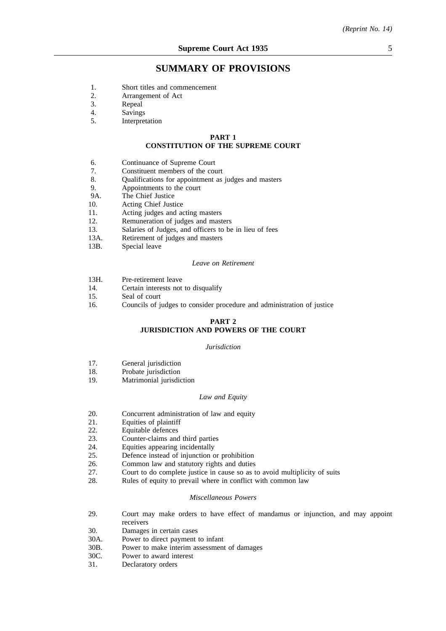## **SUMMARY OF PROVISIONS**

- 1. Short titles and commencement<br>2. Arrangement of Act
- 2. Arrangement of Act<br>3. Repeal
- 3. Repeal<br>4. Savings
- 4. Savings<br>5 Internret
- **Interpretation**

#### **PART 1**

#### **CONSTITUTION OF THE SUPREME COURT**

- 6. Continuance of Supreme Court
- 7. Constituent members of the court
- 8. Qualifications for appointment as judges and masters<br>9. Appointments to the court
- 9. Appointments to the court<br>9A. The Chief Justice
- 9A. The Chief Justice<br>10. Acting Chief Just
- Acting Chief Justice
- 11. Acting judges and acting masters
- 12. Remuneration of judges and masters
- 13. Salaries of Judges, and officers to be in lieu of fees
- 13A. Retirement of judges and masters
- 13B. Special leave

#### *Leave on Retirement*

- 13H. Pre-retirement leave
- 14. Certain interests not to disqualify
- 15. Seal of court
- 16. Councils of judges to consider procedure and administration of justice

#### **PART 2**

#### **JURISDICTION AND POWERS OF THE COURT**

#### *Jurisdiction*

- 17. General jurisdiction
- 18. Probate jurisdiction
- 19. Matrimonial jurisdiction

#### *Law and Equity*

- 20. Concurrent administration of law and equity<br>21 Equities of plaintiff
- 21. Equities of plaintiff<br>22. Equitable defences
- 22. Equitable defences
- 23. Counter-claims and third parties<br>  $24$  Equities appearing incidentally
- 
- 24. Equities appearing incidentally<br>25 Defence instead of injunction of Defence instead of injunction or prohibition
- 26. Common law and statutory rights and duties
- 27. Court to do complete justice in cause so as to avoid multiplicity of suits 28. Rules of equity to prevail where in conflict with common law
- Rules of equity to prevail where in conflict with common law

#### *Miscellaneous Powers*

- 29. Court may make orders to have effect of mandamus or injunction, and may appoint receivers
- 30. Damages in certain cases
- 30A. Power to direct payment to infant
- 30B. Power to make interim assessment of damages
- 30C. Power to award interest
- 31. Declaratory orders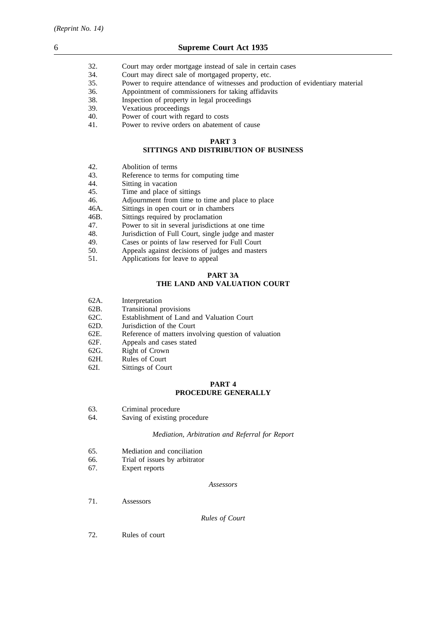- 32. Court may order mortgage instead of sale in certain cases 34. Court may direct sale of mortgaged property, etc.
- 34. Court may direct sale of mortgaged property, etc.<br>35. Power to require attendance of witnesses and proc
- 35. Power to require attendance of witnesses and production of evidentiary material
- 36. Appointment of commissioners for taking affidavits<br>38. Inspection of property in legal proceedings
- Inspection of property in legal proceedings
- 39. Vexatious proceedings
- 40. Power of court with regard to costs
- 41. Power to revive orders on abatement of cause

## **PART 3**

## **SITTINGS AND DISTRIBUTION OF BUSINESS**

- 42. Abolition of terms<br>43. Reference to terms
- Reference to terms for computing time
- 44. Sitting in vacation
- 45. Time and place of sittings
- 46. Adjournment from time to time and place to place
- 46A. Sittings in open court or in chambers<br>46B. Sittings required by proclamation
- 46B. Sittings required by proclamation<br>47. Power to sit in several iurisdiction
- 47. Power to sit in several jurisdictions at one time 48. Jurisdiction of Full Court, single judge and mas
- 48. Jurisdiction of Full Court, single judge and master 49. Cases or points of law reserved for Full Court
- 49. Cases or points of law reserved for Full Court 50. Appeals against decisions of judges and master
- Appeals against decisions of judges and masters
- 51. Applications for leave to appeal

## **PART 3A**

## **THE LAND AND VALUATION COURT**

- 62A. Interpretation
- 62B. Transitional provisions
- 62C. Establishment of Land and Valuation Court
- 62D. Jurisdiction of the Court
- 62E. Reference of matters involving question of valuation
- 62F. Appeals and cases stated
- 62G. Right of Crown
- 62H. Rules of Court
- 62I. Sittings of Court

## **PART 4 PROCEDURE GENERALLY**

- 63. Criminal procedure
- 64. Saving of existing procedure

#### *Mediation, Arbitration and Referral for Report*

- 65. Mediation and conciliation
- 66. Trial of issues by arbitrator
- 67. Expert reports

#### *Assessors*

71. Assessors

#### *Rules of Court*

72. Rules of court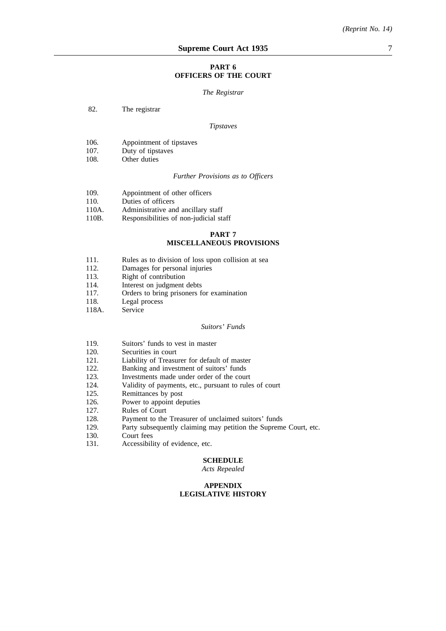#### **PART 6 OFFICERS OF THE COURT**

#### *The Registrar*

82. The registrar

#### *Tipstaves*

- 106. Appointment of tipstaves<br>107. Duty of tipstaves
- 107. Duty of tipstaves<br>108. Other duties
- Other duties

*Further Provisions as to Officers*

- 109. Appointment of other officers
- 110. Duties of officers<br>110A. Administrative an
- 110A. Administrative and ancillary staff<br>110B. Responsibilities of non-iudicial sta
- Responsibilities of non-judicial staff

## **PART 7 MISCELLANEOUS PROVISIONS**

- 111. Rules as to division of loss upon collision at sea 112. Damages for personal injuries
- 112. Damages for personal injuries<br>113. Right of contribution
- 113. Right of contribution<br>114 Interest on judoment
- 114. Interest on judgment debts<br>117 Orders to bring prisoners for
- 117. Orders to bring prisoners for examination<br>118 Legal process
- 118. Legal process<br>118A. Service
- Service

#### *Suitors' Funds*

- 119. Suitors' funds to vest in master
- 120. Securities in court<br>121. Liability of Treasu
- 121. Liability of Treasurer for default of master<br>122. Banking and investment of suitors' funds
- 122. Banking and investment of suitors' funds<br>123. Investments made under order of the cour
- 123. Investments made under order of the court<br>124. Validity of payments, etc., pursuant to rules
- Validity of payments, etc., pursuant to rules of court
- 125. Remittances by post
- 126. Power to appoint deputies
- 127. Rules of Court
- 128. Payment to the Treasurer of unclaimed suitors' funds
- 129. Party subsequently claiming may petition the Supreme Court, etc.
- 130. Court fees
- 131. Accessibility of evidence, etc.

#### **SCHEDULE**

#### *Acts Repealed*

#### **APPENDIX LEGISLATIVE HISTORY**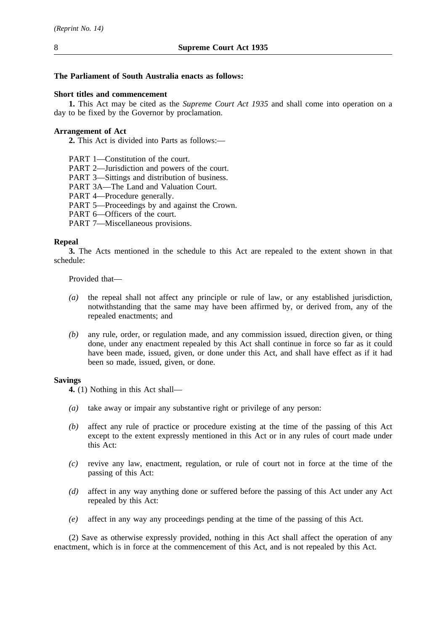## **The Parliament of South Australia enacts as follows:**

## **Short titles and commencement**

**1.** This Act may be cited as the *Supreme Court Act 1935* and shall come into operation on a day to be fixed by the Governor by proclamation.

## **Arrangement of Act**

**2.** This Act is divided into Parts as follows:—

PART 1—Constitution of the court.

PART 2—Jurisdiction and powers of the court.

PART 3—Sittings and distribution of business.

PART 3A—The Land and Valuation Court.

PART 4—Procedure generally.

PART 5—Proceedings by and against the Crown.

PART 6-Officers of the court.

PART 7—Miscellaneous provisions.

## **Repeal**

**3.** The Acts mentioned in the schedule to this Act are repealed to the extent shown in that schedule:

Provided that—

- *(a)* the repeal shall not affect any principle or rule of law, or any established jurisdiction, notwithstanding that the same may have been affirmed by, or derived from, any of the repealed enactments; and
- *(b)* any rule, order, or regulation made, and any commission issued, direction given, or thing done, under any enactment repealed by this Act shall continue in force so far as it could have been made, issued, given, or done under this Act, and shall have effect as if it had been so made, issued, given, or done.

#### **Savings**

**4.** (1) Nothing in this Act shall—

- *(a)* take away or impair any substantive right or privilege of any person:
- *(b)* affect any rule of practice or procedure existing at the time of the passing of this Act except to the extent expressly mentioned in this Act or in any rules of court made under this Act:
- *(c)* revive any law, enactment, regulation, or rule of court not in force at the time of the passing of this Act:
- *(d)* affect in any way anything done or suffered before the passing of this Act under any Act repealed by this Act:
- *(e)* affect in any way any proceedings pending at the time of the passing of this Act.

(2) Save as otherwise expressly provided, nothing in this Act shall affect the operation of any enactment, which is in force at the commencement of this Act, and is not repealed by this Act.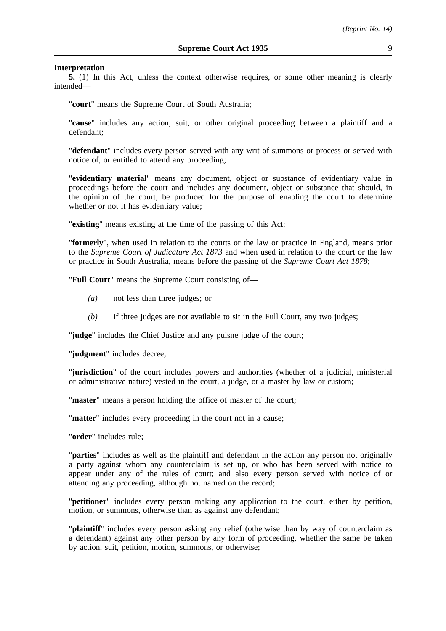#### **Interpretation**

**5.** (1) In this Act, unless the context otherwise requires, or some other meaning is clearly intended—

"**court**" means the Supreme Court of South Australia;

"**cause**" includes any action, suit, or other original proceeding between a plaintiff and a defendant;

"**defendant**" includes every person served with any writ of summons or process or served with notice of, or entitled to attend any proceeding;

"**evidentiary material**" means any document, object or substance of evidentiary value in proceedings before the court and includes any document, object or substance that should, in the opinion of the court, be produced for the purpose of enabling the court to determine whether or not it has evidentiary value;

"**existing**" means existing at the time of the passing of this Act;

"**formerly**", when used in relation to the courts or the law or practice in England, means prior to the *Supreme Court of Judicature Act 1873* and when used in relation to the court or the law or practice in South Australia, means before the passing of the *Supreme Court Act 1878*;

"**Full Court**" means the Supreme Court consisting of—

- *(a)* not less than three judges; or
- *(b)* if three judges are not available to sit in the Full Court, any two judges;

"**judge**" includes the Chief Justice and any puisne judge of the court;

"**judgment**" includes decree;

"**jurisdiction**" of the court includes powers and authorities (whether of a judicial, ministerial or administrative nature) vested in the court, a judge, or a master by law or custom;

"**master**" means a person holding the office of master of the court;

"**matter**" includes every proceeding in the court not in a cause;

"**order**" includes rule;

"**parties**" includes as well as the plaintiff and defendant in the action any person not originally a party against whom any counterclaim is set up, or who has been served with notice to appear under any of the rules of court; and also every person served with notice of or attending any proceeding, although not named on the record;

"**petitioner**" includes every person making any application to the court, either by petition, motion, or summons, otherwise than as against any defendant;

"**plaintiff**" includes every person asking any relief (otherwise than by way of counterclaim as a defendant) against any other person by any form of proceeding, whether the same be taken by action, suit, petition, motion, summons, or otherwise;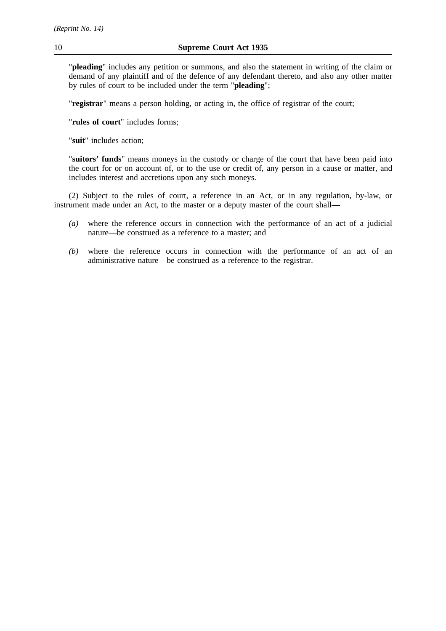"**pleading**" includes any petition or summons, and also the statement in writing of the claim or demand of any plaintiff and of the defence of any defendant thereto, and also any other matter by rules of court to be included under the term "**pleading**";

"**registrar**" means a person holding, or acting in, the office of registrar of the court;

"**rules of court**" includes forms;

"**suit**" includes action;

"**suitors' funds**" means moneys in the custody or charge of the court that have been paid into the court for or on account of, or to the use or credit of, any person in a cause or matter, and includes interest and accretions upon any such moneys.

(2) Subject to the rules of court, a reference in an Act, or in any regulation, by-law, or instrument made under an Act, to the master or a deputy master of the court shall—

- *(a)* where the reference occurs in connection with the performance of an act of a judicial nature—be construed as a reference to a master; and
- *(b)* where the reference occurs in connection with the performance of an act of an administrative nature—be construed as a reference to the registrar.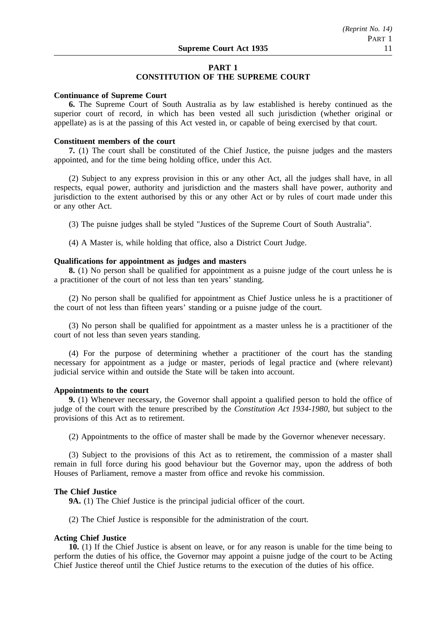## **PART 1**

## **CONSTITUTION OF THE SUPREME COURT**

## **Continuance of Supreme Court**

**6.** The Supreme Court of South Australia as by law established is hereby continued as the superior court of record, in which has been vested all such jurisdiction (whether original or appellate) as is at the passing of this Act vested in, or capable of being exercised by that court.

#### **Constituent members of the court**

**7.** (1) The court shall be constituted of the Chief Justice, the puisne judges and the masters appointed, and for the time being holding office, under this Act.

(2) Subject to any express provision in this or any other Act, all the judges shall have, in all respects, equal power, authority and jurisdiction and the masters shall have power, authority and jurisdiction to the extent authorised by this or any other Act or by rules of court made under this or any other Act.

(3) The puisne judges shall be styled "Justices of the Supreme Court of South Australia".

(4) A Master is, while holding that office, also a District Court Judge.

## **Qualifications for appointment as judges and masters**

**8.** (1) No person shall be qualified for appointment as a puisne judge of the court unless he is a practitioner of the court of not less than ten years' standing.

(2) No person shall be qualified for appointment as Chief Justice unless he is a practitioner of the court of not less than fifteen years' standing or a puisne judge of the court.

(3) No person shall be qualified for appointment as a master unless he is a practitioner of the court of not less than seven years standing.

(4) For the purpose of determining whether a practitioner of the court has the standing necessary for appointment as a judge or master, periods of legal practice and (where relevant) judicial service within and outside the State will be taken into account.

#### **Appointments to the court**

**9.** (1) Whenever necessary, the Governor shall appoint a qualified person to hold the office of judge of the court with the tenure prescribed by the *Constitution Act 1934-1980*, but subject to the provisions of this Act as to retirement.

(2) Appointments to the office of master shall be made by the Governor whenever necessary.

(3) Subject to the provisions of this Act as to retirement, the commission of a master shall remain in full force during his good behaviour but the Governor may, upon the address of both Houses of Parliament, remove a master from office and revoke his commission.

#### **The Chief Justice**

**9A.** (1) The Chief Justice is the principal judicial officer of the court.

(2) The Chief Justice is responsible for the administration of the court.

#### **Acting Chief Justice**

**10.** (1) If the Chief Justice is absent on leave, or for any reason is unable for the time being to perform the duties of his office, the Governor may appoint a puisne judge of the court to be Acting Chief Justice thereof until the Chief Justice returns to the execution of the duties of his office.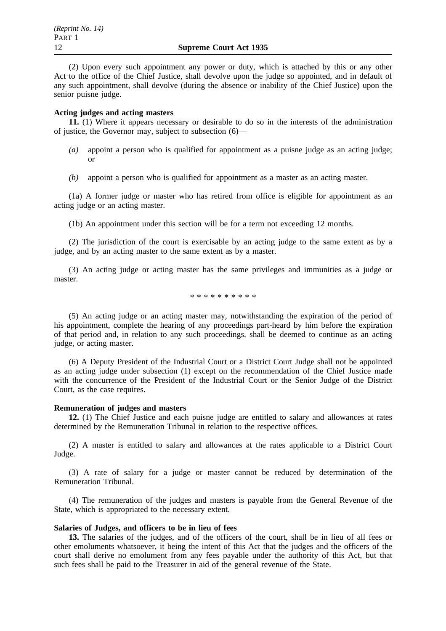(2) Upon every such appointment any power or duty, which is attached by this or any other Act to the office of the Chief Justice, shall devolve upon the judge so appointed, and in default of any such appointment, shall devolve (during the absence or inability of the Chief Justice) upon the senior puisne judge.

## **Acting judges and acting masters**

**11.** (1) Where it appears necessary or desirable to do so in the interests of the administration of justice, the Governor may, subject to subsection (6)—

- $(a)$  appoint a person who is qualified for appointment as a puisne judge as an acting judge; or
- *(b)* appoint a person who is qualified for appointment as a master as an acting master.

(1a) A former judge or master who has retired from office is eligible for appointment as an acting judge or an acting master.

(1b) An appointment under this section will be for a term not exceeding 12 months.

(2) The jurisdiction of the court is exercisable by an acting judge to the same extent as by a judge, and by an acting master to the same extent as by a master.

(3) An acting judge or acting master has the same privileges and immunities as a judge or master.

\*\*\*\*\*\*\*\*\*\*

(5) An acting judge or an acting master may, notwithstanding the expiration of the period of his appointment, complete the hearing of any proceedings part-heard by him before the expiration of that period and, in relation to any such proceedings, shall be deemed to continue as an acting judge, or acting master.

(6) A Deputy President of the Industrial Court or a District Court Judge shall not be appointed as an acting judge under subsection (1) except on the recommendation of the Chief Justice made with the concurrence of the President of the Industrial Court or the Senior Judge of the District Court, as the case requires.

#### **Remuneration of judges and masters**

**12.** (1) The Chief Justice and each puisne judge are entitled to salary and allowances at rates determined by the Remuneration Tribunal in relation to the respective offices.

(2) A master is entitled to salary and allowances at the rates applicable to a District Court Judge.

(3) A rate of salary for a judge or master cannot be reduced by determination of the Remuneration Tribunal.

(4) The remuneration of the judges and masters is payable from the General Revenue of the State, which is appropriated to the necessary extent.

#### **Salaries of Judges, and officers to be in lieu of fees**

**13.** The salaries of the judges, and of the officers of the court, shall be in lieu of all fees or other emoluments whatsoever, it being the intent of this Act that the judges and the officers of the court shall derive no emolument from any fees payable under the authority of this Act, but that such fees shall be paid to the Treasurer in aid of the general revenue of the State.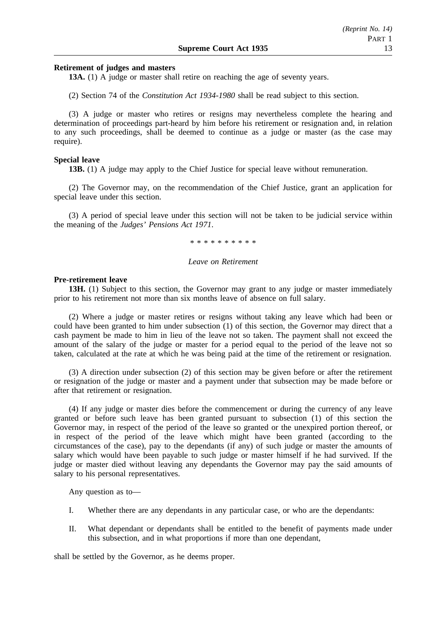## **Retirement of judges and masters**

**13A.** (1) A judge or master shall retire on reaching the age of seventy years.

(2) Section 74 of the *Constitution Act 1934-1980* shall be read subject to this section.

(3) A judge or master who retires or resigns may nevertheless complete the hearing and determination of proceedings part-heard by him before his retirement or resignation and, in relation to any such proceedings, shall be deemed to continue as a judge or master (as the case may require).

## **Special leave**

**13B.** (1) A judge may apply to the Chief Justice for special leave without remuneration.

(2) The Governor may, on the recommendation of the Chief Justice, grant an application for special leave under this section.

(3) A period of special leave under this section will not be taken to be judicial service within the meaning of the *Judges' Pensions Act 1971*.

\*\*\*\*\*\*\*\*\*\*

## *Leave on Retirement*

#### **Pre-retirement leave**

**13H.** (1) Subject to this section, the Governor may grant to any judge or master immediately prior to his retirement not more than six months leave of absence on full salary.

(2) Where a judge or master retires or resigns without taking any leave which had been or could have been granted to him under subsection (1) of this section, the Governor may direct that a cash payment be made to him in lieu of the leave not so taken. The payment shall not exceed the amount of the salary of the judge or master for a period equal to the period of the leave not so taken, calculated at the rate at which he was being paid at the time of the retirement or resignation.

(3) A direction under subsection (2) of this section may be given before or after the retirement or resignation of the judge or master and a payment under that subsection may be made before or after that retirement or resignation.

(4) If any judge or master dies before the commencement or during the currency of any leave granted or before such leave has been granted pursuant to subsection (1) of this section the Governor may, in respect of the period of the leave so granted or the unexpired portion thereof, or in respect of the period of the leave which might have been granted (according to the circumstances of the case), pay to the dependants (if any) of such judge or master the amounts of salary which would have been payable to such judge or master himself if he had survived. If the judge or master died without leaving any dependants the Governor may pay the said amounts of salary to his personal representatives.

Any question as to—

- I. Whether there are any dependants in any particular case, or who are the dependants:
- II. What dependant or dependants shall be entitled to the benefit of payments made under this subsection, and in what proportions if more than one dependant,

shall be settled by the Governor, as he deems proper.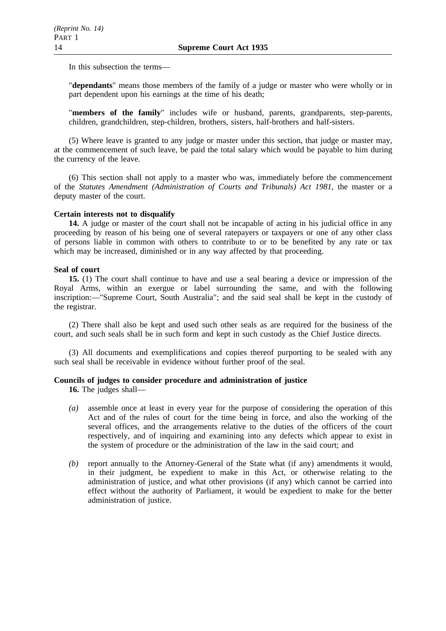In this subsection the terms—

"**dependants**" means those members of the family of a judge or master who were wholly or in part dependent upon his earnings at the time of his death;

"**members of the family**" includes wife or husband, parents, grandparents, step-parents, children, grandchildren, step-children, brothers, sisters, half-brothers and half-sisters.

(5) Where leave is granted to any judge or master under this section, that judge or master may, at the commencement of such leave, be paid the total salary which would be payable to him during the currency of the leave.

(6) This section shall not apply to a master who was, immediately before the commencement of the *Statutes Amendment (Administration of Courts and Tribunals) Act 1981*, the master or a deputy master of the court.

## **Certain interests not to disqualify**

**14.** A judge or master of the court shall not be incapable of acting in his judicial office in any proceeding by reason of his being one of several ratepayers or taxpayers or one of any other class of persons liable in common with others to contribute to or to be benefited by any rate or tax which may be increased, diminished or in any way affected by that proceeding.

## **Seal of court**

**15.** (1) The court shall continue to have and use a seal bearing a device or impression of the Royal Arms, within an exergue or label surrounding the same, and with the following inscription:—"Supreme Court, South Australia"; and the said seal shall be kept in the custody of the registrar.

(2) There shall also be kept and used such other seals as are required for the business of the court, and such seals shall be in such form and kept in such custody as the Chief Justice directs.

(3) All documents and exemplifications and copies thereof purporting to be sealed with any such seal shall be receivable in evidence without further proof of the seal.

## **Councils of judges to consider procedure and administration of justice**

**16.** The judges shall—

- *(a)* assemble once at least in every year for the purpose of considering the operation of this Act and of the rules of court for the time being in force, and also the working of the several offices, and the arrangements relative to the duties of the officers of the court respectively, and of inquiring and examining into any defects which appear to exist in the system of procedure or the administration of the law in the said court; and
- *(b)* report annually to the Attorney-General of the State what (if any) amendments it would, in their judgment, be expedient to make in this Act, or otherwise relating to the administration of justice, and what other provisions (if any) which cannot be carried into effect without the authority of Parliament, it would be expedient to make for the better administration of justice.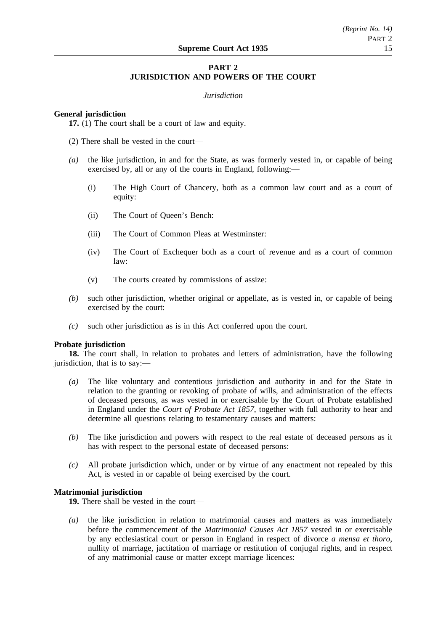## **PART 2 JURISDICTION AND POWERS OF THE COURT**

## *Jurisdiction*

## **General jurisdiction**

**17.** (1) The court shall be a court of law and equity.

- (2) There shall be vested in the court—
- *(a)* the like jurisdiction, in and for the State, as was formerly vested in, or capable of being exercised by, all or any of the courts in England, following:—
	- (i) The High Court of Chancery, both as a common law court and as a court of equity:
	- (ii) The Court of Queen's Bench:
	- (iii) The Court of Common Pleas at Westminster:
	- (iv) The Court of Exchequer both as a court of revenue and as a court of common law:
	- (v) The courts created by commissions of assize:
- *(b)* such other jurisdiction, whether original or appellate, as is vested in, or capable of being exercised by the court:
- *(c)* such other jurisdiction as is in this Act conferred upon the court.

## **Probate jurisdiction**

**18.** The court shall, in relation to probates and letters of administration, have the following jurisdiction, that is to say:—

- *(a)* The like voluntary and contentious jurisdiction and authority in and for the State in relation to the granting or revoking of probate of wills, and administration of the effects of deceased persons, as was vested in or exercisable by the Court of Probate established in England under the *Court of Probate Act 1857*, together with full authority to hear and determine all questions relating to testamentary causes and matters:
- *(b)* The like jurisdiction and powers with respect to the real estate of deceased persons as it has with respect to the personal estate of deceased persons:
- *(c)* All probate jurisdiction which, under or by virtue of any enactment not repealed by this Act, is vested in or capable of being exercised by the court.

## **Matrimonial jurisdiction**

**19.** There shall be vested in the court—

*(a)* the like jurisdiction in relation to matrimonial causes and matters as was immediately before the commencement of the *Matrimonial Causes Act 1857* vested in or exercisable by any ecclesiastical court or person in England in respect of divorce *a mensa et thoro*, nullity of marriage, jactitation of marriage or restitution of conjugal rights, and in respect of any matrimonial cause or matter except marriage licences: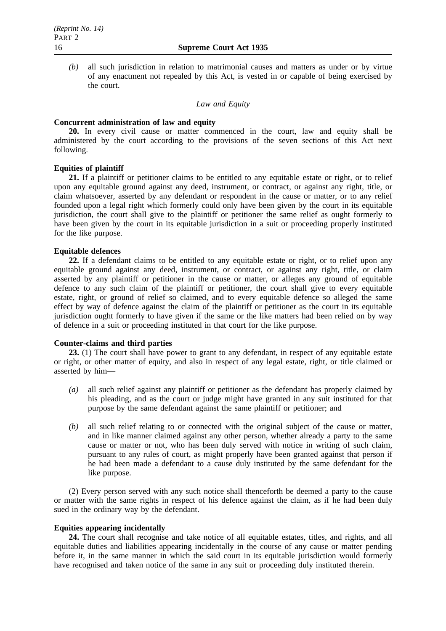*(b)* all such jurisdiction in relation to matrimonial causes and matters as under or by virtue of any enactment not repealed by this Act, is vested in or capable of being exercised by the court.

## *Law and Equity*

## **Concurrent administration of law and equity**

**20.** In every civil cause or matter commenced in the court, law and equity shall be administered by the court according to the provisions of the seven sections of this Act next following.

## **Equities of plaintiff**

**21.** If a plaintiff or petitioner claims to be entitled to any equitable estate or right, or to relief upon any equitable ground against any deed, instrument, or contract, or against any right, title, or claim whatsoever, asserted by any defendant or respondent in the cause or matter, or to any relief founded upon a legal right which formerly could only have been given by the court in its equitable jurisdiction, the court shall give to the plaintiff or petitioner the same relief as ought formerly to have been given by the court in its equitable jurisdiction in a suit or proceeding properly instituted for the like purpose.

## **Equitable defences**

**22.** If a defendant claims to be entitled to any equitable estate or right, or to relief upon any equitable ground against any deed, instrument, or contract, or against any right, title, or claim asserted by any plaintiff or petitioner in the cause or matter, or alleges any ground of equitable defence to any such claim of the plaintiff or petitioner, the court shall give to every equitable estate, right, or ground of relief so claimed, and to every equitable defence so alleged the same effect by way of defence against the claim of the plaintiff or petitioner as the court in its equitable jurisdiction ought formerly to have given if the same or the like matters had been relied on by way of defence in a suit or proceeding instituted in that court for the like purpose.

## **Counter-claims and third parties**

**23.** (1) The court shall have power to grant to any defendant, in respect of any equitable estate or right, or other matter of equity, and also in respect of any legal estate, right, or title claimed or asserted by him—

- *(a)* all such relief against any plaintiff or petitioner as the defendant has properly claimed by his pleading, and as the court or judge might have granted in any suit instituted for that purpose by the same defendant against the same plaintiff or petitioner; and
- *(b)* all such relief relating to or connected with the original subject of the cause or matter, and in like manner claimed against any other person, whether already a party to the same cause or matter or not, who has been duly served with notice in writing of such claim, pursuant to any rules of court, as might properly have been granted against that person if he had been made a defendant to a cause duly instituted by the same defendant for the like purpose.

(2) Every person served with any such notice shall thenceforth be deemed a party to the cause or matter with the same rights in respect of his defence against the claim, as if he had been duly sued in the ordinary way by the defendant.

## **Equities appearing incidentally**

**24.** The court shall recognise and take notice of all equitable estates, titles, and rights, and all equitable duties and liabilities appearing incidentally in the course of any cause or matter pending before it, in the same manner in which the said court in its equitable jurisdiction would formerly have recognised and taken notice of the same in any suit or proceeding duly instituted therein.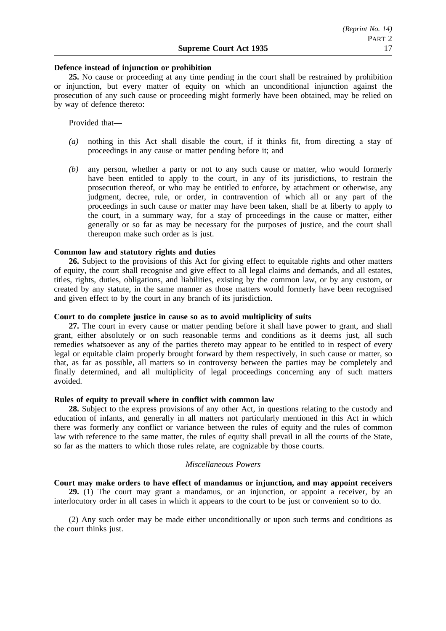#### **Defence instead of injunction or prohibition**

**25.** No cause or proceeding at any time pending in the court shall be restrained by prohibition or injunction, but every matter of equity on which an unconditional injunction against the prosecution of any such cause or proceeding might formerly have been obtained, may be relied on by way of defence thereto:

Provided that—

- *(a)* nothing in this Act shall disable the court, if it thinks fit, from directing a stay of proceedings in any cause or matter pending before it; and
- *(b)* any person, whether a party or not to any such cause or matter, who would formerly have been entitled to apply to the court, in any of its jurisdictions, to restrain the prosecution thereof, or who may be entitled to enforce, by attachment or otherwise, any judgment, decree, rule, or order, in contravention of which all or any part of the proceedings in such cause or matter may have been taken, shall be at liberty to apply to the court, in a summary way, for a stay of proceedings in the cause or matter, either generally or so far as may be necessary for the purposes of justice, and the court shall thereupon make such order as is just.

#### **Common law and statutory rights and duties**

**26.** Subject to the provisions of this Act for giving effect to equitable rights and other matters of equity, the court shall recognise and give effect to all legal claims and demands, and all estates, titles, rights, duties, obligations, and liabilities, existing by the common law, or by any custom, or created by any statute, in the same manner as those matters would formerly have been recognised and given effect to by the court in any branch of its jurisdiction.

## **Court to do complete justice in cause so as to avoid multiplicity of suits**

**27.** The court in every cause or matter pending before it shall have power to grant, and shall grant, either absolutely or on such reasonable terms and conditions as it deems just, all such remedies whatsoever as any of the parties thereto may appear to be entitled to in respect of every legal or equitable claim properly brought forward by them respectively, in such cause or matter, so that, as far as possible, all matters so in controversy between the parties may be completely and finally determined, and all multiplicity of legal proceedings concerning any of such matters avoided.

#### **Rules of equity to prevail where in conflict with common law**

**28.** Subject to the express provisions of any other Act, in questions relating to the custody and education of infants, and generally in all matters not particularly mentioned in this Act in which there was formerly any conflict or variance between the rules of equity and the rules of common law with reference to the same matter, the rules of equity shall prevail in all the courts of the State, so far as the matters to which those rules relate, are cognizable by those courts.

## *Miscellaneous Powers*

## **Court may make orders to have effect of mandamus or injunction, and may appoint receivers**

**29.** (1) The court may grant a mandamus, or an injunction, or appoint a receiver, by an interlocutory order in all cases in which it appears to the court to be just or convenient so to do.

(2) Any such order may be made either unconditionally or upon such terms and conditions as the court thinks just.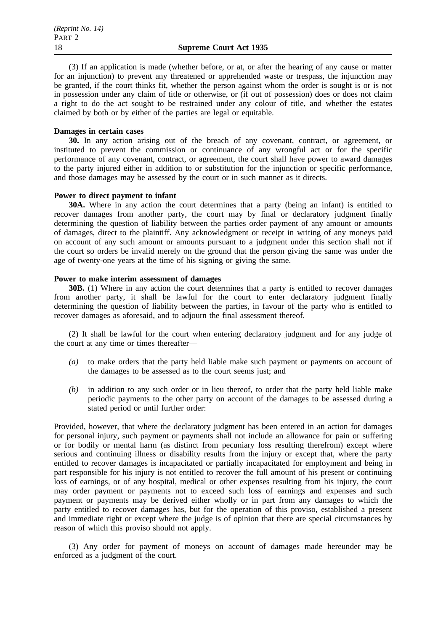(3) If an application is made (whether before, or at, or after the hearing of any cause or matter for an injunction) to prevent any threatened or apprehended waste or trespass, the injunction may be granted, if the court thinks fit, whether the person against whom the order is sought is or is not in possession under any claim of title or otherwise, or (if out of possession) does or does not claim a right to do the act sought to be restrained under any colour of title, and whether the estates claimed by both or by either of the parties are legal or equitable.

## **Damages in certain cases**

**30.** In any action arising out of the breach of any covenant, contract, or agreement, or instituted to prevent the commission or continuance of any wrongful act or for the specific performance of any covenant, contract, or agreement, the court shall have power to award damages to the party injured either in addition to or substitution for the injunction or specific performance, and those damages may be assessed by the court or in such manner as it directs.

## **Power to direct payment to infant**

**30A.** Where in any action the court determines that a party (being an infant) is entitled to recover damages from another party, the court may by final or declaratory judgment finally determining the question of liability between the parties order payment of any amount or amounts of damages, direct to the plaintiff. Any acknowledgment or receipt in writing of any moneys paid on account of any such amount or amounts pursuant to a judgment under this section shall not if the court so orders be invalid merely on the ground that the person giving the same was under the age of twenty-one years at the time of his signing or giving the same.

## **Power to make interim assessment of damages**

**30B.** (1) Where in any action the court determines that a party is entitled to recover damages from another party, it shall be lawful for the court to enter declaratory judgment finally determining the question of liability between the parties, in favour of the party who is entitled to recover damages as aforesaid, and to adjourn the final assessment thereof.

(2) It shall be lawful for the court when entering declaratory judgment and for any judge of the court at any time or times thereafter—

- *(a)* to make orders that the party held liable make such payment or payments on account of the damages to be assessed as to the court seems just; and
- *(b)* in addition to any such order or in lieu thereof, to order that the party held liable make periodic payments to the other party on account of the damages to be assessed during a stated period or until further order:

Provided, however, that where the declaratory judgment has been entered in an action for damages for personal injury, such payment or payments shall not include an allowance for pain or suffering or for bodily or mental harm (as distinct from pecuniary loss resulting therefrom) except where serious and continuing illness or disability results from the injury or except that, where the party entitled to recover damages is incapacitated or partially incapacitated for employment and being in part responsible for his injury is not entitled to recover the full amount of his present or continuing loss of earnings, or of any hospital, medical or other expenses resulting from his injury, the court may order payment or payments not to exceed such loss of earnings and expenses and such payment or payments may be derived either wholly or in part from any damages to which the party entitled to recover damages has, but for the operation of this proviso, established a present and immediate right or except where the judge is of opinion that there are special circumstances by reason of which this proviso should not apply.

(3) Any order for payment of moneys on account of damages made hereunder may be enforced as a judgment of the court.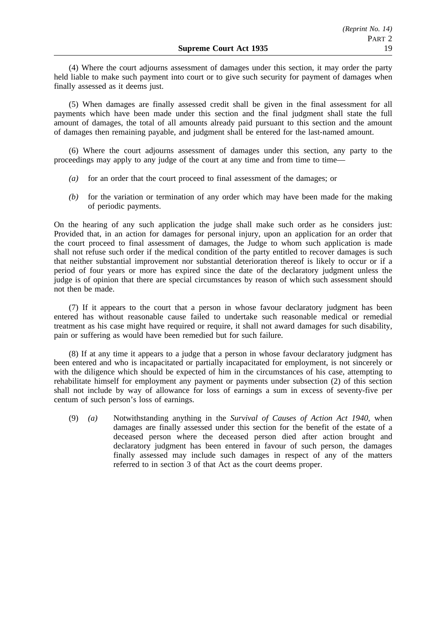(4) Where the court adjourns assessment of damages under this section, it may order the party held liable to make such payment into court or to give such security for payment of damages when finally assessed as it deems just.

(5) When damages are finally assessed credit shall be given in the final assessment for all payments which have been made under this section and the final judgment shall state the full amount of damages, the total of all amounts already paid pursuant to this section and the amount of damages then remaining payable, and judgment shall be entered for the last-named amount.

(6) Where the court adjourns assessment of damages under this section, any party to the proceedings may apply to any judge of the court at any time and from time to time—

- *(a)* for an order that the court proceed to final assessment of the damages; or
- *(b)* for the variation or termination of any order which may have been made for the making of periodic payments.

On the hearing of any such application the judge shall make such order as he considers just: Provided that, in an action for damages for personal injury, upon an application for an order that the court proceed to final assessment of damages, the Judge to whom such application is made shall not refuse such order if the medical condition of the party entitled to recover damages is such that neither substantial improvement nor substantial deterioration thereof is likely to occur or if a period of four years or more has expired since the date of the declaratory judgment unless the judge is of opinion that there are special circumstances by reason of which such assessment should not then be made.

(7) If it appears to the court that a person in whose favour declaratory judgment has been entered has without reasonable cause failed to undertake such reasonable medical or remedial treatment as his case might have required or require, it shall not award damages for such disability, pain or suffering as would have been remedied but for such failure.

(8) If at any time it appears to a judge that a person in whose favour declaratory judgment has been entered and who is incapacitated or partially incapacitated for employment, is not sincerely or with the diligence which should be expected of him in the circumstances of his case, attempting to rehabilitate himself for employment any payment or payments under subsection (2) of this section shall not include by way of allowance for loss of earnings a sum in excess of seventy-five per centum of such person's loss of earnings.

(9) *(a)* Notwithstanding anything in the *Survival of Causes of Action Act 1940*, when damages are finally assessed under this section for the benefit of the estate of a deceased person where the deceased person died after action brought and declaratory judgment has been entered in favour of such person, the damages finally assessed may include such damages in respect of any of the matters referred to in section 3 of that Act as the court deems proper.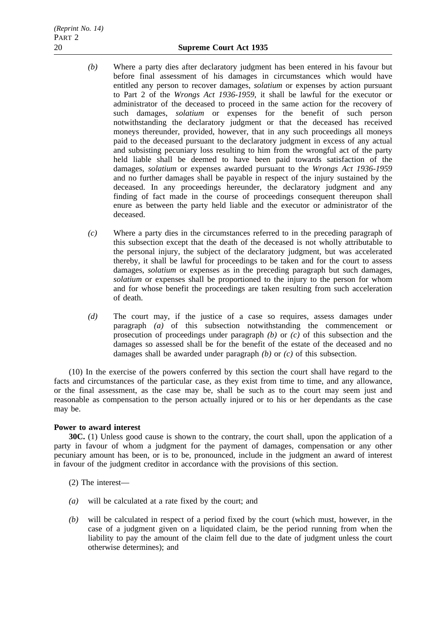- *(b)* Where a party dies after declaratory judgment has been entered in his favour but before final assessment of his damages in circumstances which would have entitled any person to recover damages, *solatium* or expenses by action pursuant to Part 2 of the *Wrongs Act 1936-1959*, it shall be lawful for the executor or administrator of the deceased to proceed in the same action for the recovery of such damages, *solatium* or expenses for the benefit of such person notwithstanding the declaratory judgment or that the deceased has received moneys thereunder, provided, however, that in any such proceedings all moneys paid to the deceased pursuant to the declaratory judgment in excess of any actual and subsisting pecuniary loss resulting to him from the wrongful act of the party held liable shall be deemed to have been paid towards satisfaction of the damages, *solatium* or expenses awarded pursuant to the *Wrongs Act 1936-1959* and no further damages shall be payable in respect of the injury sustained by the deceased. In any proceedings hereunder, the declaratory judgment and any finding of fact made in the course of proceedings consequent thereupon shall enure as between the party held liable and the executor or administrator of the deceased.
- *(c)* Where a party dies in the circumstances referred to in the preceding paragraph of this subsection except that the death of the deceased is not wholly attributable to the personal injury, the subject of the declaratory judgment, but was accelerated thereby, it shall be lawful for proceedings to be taken and for the court to assess damages, *solatium* or expenses as in the preceding paragraph but such damages, *solatium* or expenses shall be proportioned to the injury to the person for whom and for whose benefit the proceedings are taken resulting from such acceleration of death.
- *(d)* The court may, if the justice of a case so requires, assess damages under paragraph *(a)* of this subsection notwithstanding the commencement or prosecution of proceedings under paragraph *(b)* or *(c)* of this subsection and the damages so assessed shall be for the benefit of the estate of the deceased and no damages shall be awarded under paragraph *(b)* or *(c)* of this subsection.

(10) In the exercise of the powers conferred by this section the court shall have regard to the facts and circumstances of the particular case, as they exist from time to time, and any allowance, or the final assessment, as the case may be, shall be such as to the court may seem just and reasonable as compensation to the person actually injured or to his or her dependants as the case may be.

## **Power to award interest**

**30C.** (1) Unless good cause is shown to the contrary, the court shall, upon the application of a party in favour of whom a judgment for the payment of damages, compensation or any other pecuniary amount has been, or is to be, pronounced, include in the judgment an award of interest in favour of the judgment creditor in accordance with the provisions of this section.

- (2) The interest—
- *(a)* will be calculated at a rate fixed by the court; and
- *(b)* will be calculated in respect of a period fixed by the court (which must, however, in the case of a judgment given on a liquidated claim, be the period running from when the liability to pay the amount of the claim fell due to the date of judgment unless the court otherwise determines); and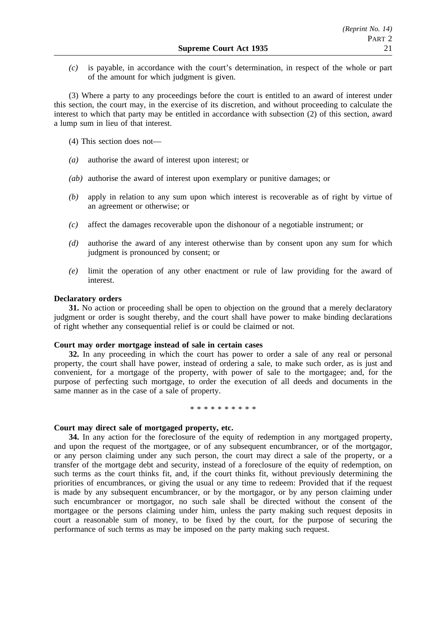*(c)* is payable, in accordance with the court's determination, in respect of the whole or part of the amount for which judgment is given.

(3) Where a party to any proceedings before the court is entitled to an award of interest under this section, the court may, in the exercise of its discretion, and without proceeding to calculate the interest to which that party may be entitled in accordance with subsection (2) of this section, award a lump sum in lieu of that interest.

(4) This section does not—

- *(a)* authorise the award of interest upon interest; or
- *(ab)* authorise the award of interest upon exemplary or punitive damages; or
- *(b)* apply in relation to any sum upon which interest is recoverable as of right by virtue of an agreement or otherwise; or
- *(c)* affect the damages recoverable upon the dishonour of a negotiable instrument; or
- *(d)* authorise the award of any interest otherwise than by consent upon any sum for which judgment is pronounced by consent; or
- *(e)* limit the operation of any other enactment or rule of law providing for the award of interest.

## **Declaratory orders**

**31.** No action or proceeding shall be open to objection on the ground that a merely declaratory judgment or order is sought thereby, and the court shall have power to make binding declarations of right whether any consequential relief is or could be claimed or not.

#### **Court may order mortgage instead of sale in certain cases**

**32.** In any proceeding in which the court has power to order a sale of any real or personal property, the court shall have power, instead of ordering a sale, to make such order, as is just and convenient, for a mortgage of the property, with power of sale to the mortgagee; and, for the purpose of perfecting such mortgage, to order the execution of all deeds and documents in the same manner as in the case of a sale of property.

#### \*\*\*\*\*\*\*\*\*\*

#### **Court may direct sale of mortgaged property, etc.**

**34.** In any action for the foreclosure of the equity of redemption in any mortgaged property, and upon the request of the mortgagee, or of any subsequent encumbrancer, or of the mortgagor, or any person claiming under any such person, the court may direct a sale of the property, or a transfer of the mortgage debt and security, instead of a foreclosure of the equity of redemption, on such terms as the court thinks fit, and, if the court thinks fit, without previously determining the priorities of encumbrances, or giving the usual or any time to redeem: Provided that if the request is made by any subsequent encumbrancer, or by the mortgagor, or by any person claiming under such encumbrancer or mortgagor, no such sale shall be directed without the consent of the mortgagee or the persons claiming under him, unless the party making such request deposits in court a reasonable sum of money, to be fixed by the court, for the purpose of securing the performance of such terms as may be imposed on the party making such request.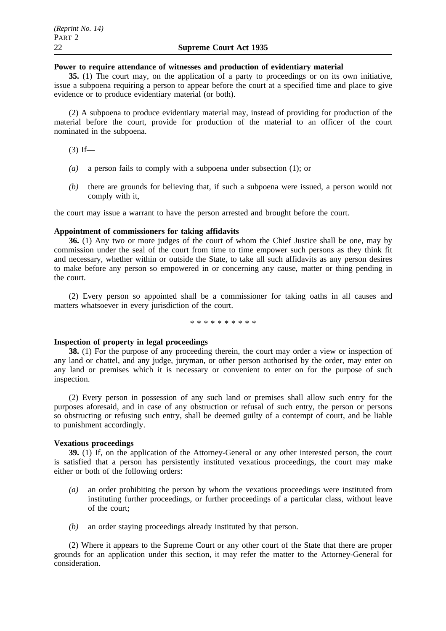## **Power to require attendance of witnesses and production of evidentiary material**

**35.** (1) The court may, on the application of a party to proceedings or on its own initiative, issue a subpoena requiring a person to appear before the court at a specified time and place to give evidence or to produce evidentiary material (or both).

(2) A subpoena to produce evidentiary material may, instead of providing for production of the material before the court, provide for production of the material to an officer of the court nominated in the subpoena.

 $(3)$  If—

- *(a)* a person fails to comply with a subpoena under subsection (1); or
- *(b)* there are grounds for believing that, if such a subpoena were issued, a person would not comply with it,

the court may issue a warrant to have the person arrested and brought before the court.

## **Appointment of commissioners for taking affidavits**

**36.** (1) Any two or more judges of the court of whom the Chief Justice shall be one, may by commission under the seal of the court from time to time empower such persons as they think fit and necessary, whether within or outside the State, to take all such affidavits as any person desires to make before any person so empowered in or concerning any cause, matter or thing pending in the court.

(2) Every person so appointed shall be a commissioner for taking oaths in all causes and matters whatsoever in every jurisdiction of the court.

\*\*\*\*\*\*\*\*\*\*

## **Inspection of property in legal proceedings**

**38.** (1) For the purpose of any proceeding therein, the court may order a view or inspection of any land or chattel, and any judge, juryman, or other person authorised by the order, may enter on any land or premises which it is necessary or convenient to enter on for the purpose of such inspection.

(2) Every person in possession of any such land or premises shall allow such entry for the purposes aforesaid, and in case of any obstruction or refusal of such entry, the person or persons so obstructing or refusing such entry, shall be deemed guilty of a contempt of court, and be liable to punishment accordingly.

## **Vexatious proceedings**

**39.** (1) If, on the application of the Attorney-General or any other interested person, the court is satisfied that a person has persistently instituted vexatious proceedings, the court may make either or both of the following orders:

- *(a)* an order prohibiting the person by whom the vexatious proceedings were instituted from instituting further proceedings, or further proceedings of a particular class, without leave of the court;
- *(b)* an order staying proceedings already instituted by that person.

(2) Where it appears to the Supreme Court or any other court of the State that there are proper grounds for an application under this section, it may refer the matter to the Attorney-General for consideration.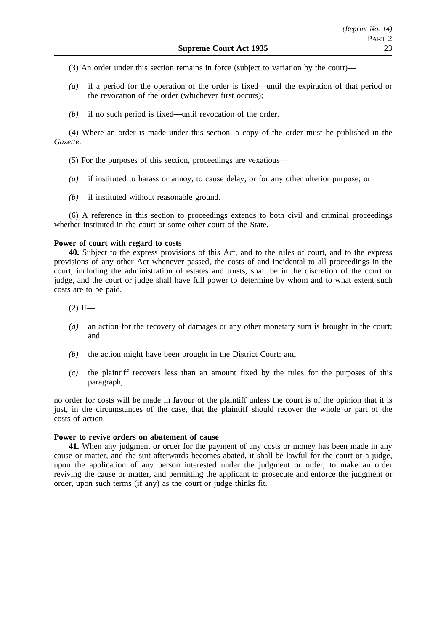(3) An order under this section remains in force (subject to variation by the court)—

- *(a)* if a period for the operation of the order is fixed—until the expiration of that period or the revocation of the order (whichever first occurs);
- *(b)* if no such period is fixed—until revocation of the order.

(4) Where an order is made under this section, a copy of the order must be published in the *Gazette*.

(5) For the purposes of this section, proceedings are vexatious—

- *(a)* if instituted to harass or annoy, to cause delay, or for any other ulterior purpose; or
- *(b)* if instituted without reasonable ground.

(6) A reference in this section to proceedings extends to both civil and criminal proceedings whether instituted in the court or some other court of the State.

## **Power of court with regard to costs**

**40.** Subject to the express provisions of this Act, and to the rules of court, and to the express provisions of any other Act whenever passed, the costs of and incidental to all proceedings in the court, including the administration of estates and trusts, shall be in the discretion of the court or judge, and the court or judge shall have full power to determine by whom and to what extent such costs are to be paid.

 $(2)$  If—

- *(a)* an action for the recovery of damages or any other monetary sum is brought in the court; and
- *(b)* the action might have been brought in the District Court; and
- *(c)* the plaintiff recovers less than an amount fixed by the rules for the purposes of this paragraph,

no order for costs will be made in favour of the plaintiff unless the court is of the opinion that it is just, in the circumstances of the case, that the plaintiff should recover the whole or part of the costs of action.

## **Power to revive orders on abatement of cause**

**41.** When any judgment or order for the payment of any costs or money has been made in any cause or matter, and the suit afterwards becomes abated, it shall be lawful for the court or a judge, upon the application of any person interested under the judgment or order, to make an order reviving the cause or matter, and permitting the applicant to prosecute and enforce the judgment or order, upon such terms (if any) as the court or judge thinks fit.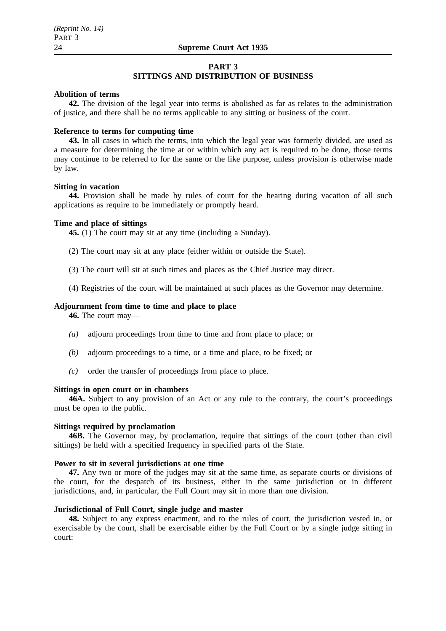#### **PART 3 SITTINGS AND DISTRIBUTION OF BUSINESS**

## **Abolition of terms**

**42.** The division of the legal year into terms is abolished as far as relates to the administration of justice, and there shall be no terms applicable to any sitting or business of the court.

## **Reference to terms for computing time**

**43.** In all cases in which the terms, into which the legal year was formerly divided, are used as a measure for determining the time at or within which any act is required to be done, those terms may continue to be referred to for the same or the like purpose, unless provision is otherwise made by law.

#### **Sitting in vacation**

**44.** Provision shall be made by rules of court for the hearing during vacation of all such applications as require to be immediately or promptly heard.

#### **Time and place of sittings**

**45.** (1) The court may sit at any time (including a Sunday).

- (2) The court may sit at any place (either within or outside the State).
- (3) The court will sit at such times and places as the Chief Justice may direct.
- (4) Registries of the court will be maintained at such places as the Governor may determine.

#### **Adjournment from time to time and place to place**

**46.** The court may—

- *(a)* adjourn proceedings from time to time and from place to place; or
- *(b)* adjourn proceedings to a time, or a time and place, to be fixed; or
- *(c)* order the transfer of proceedings from place to place.

## **Sittings in open court or in chambers**

**46A.** Subject to any provision of an Act or any rule to the contrary, the court's proceedings must be open to the public.

#### **Sittings required by proclamation**

**46B.** The Governor may, by proclamation, require that sittings of the court (other than civil sittings) be held with a specified frequency in specified parts of the State.

## **Power to sit in several jurisdictions at one time**

**47.** Any two or more of the judges may sit at the same time, as separate courts or divisions of the court, for the despatch of its business, either in the same jurisdiction or in different jurisdictions, and, in particular, the Full Court may sit in more than one division.

## **Jurisdictional of Full Court, single judge and master**

**48.** Subject to any express enactment, and to the rules of court, the jurisdiction vested in, or exercisable by the court, shall be exercisable either by the Full Court or by a single judge sitting in court: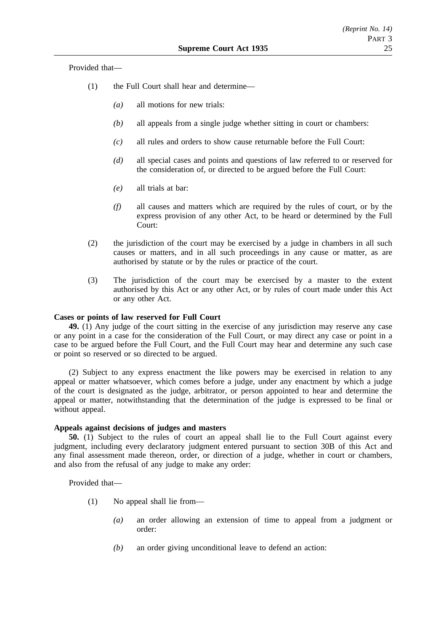Provided that—

- (1) the Full Court shall hear and determine—
	- *(a)* all motions for new trials:
	- *(b)* all appeals from a single judge whether sitting in court or chambers:
	- *(c)* all rules and orders to show cause returnable before the Full Court:
	- *(d)* all special cases and points and questions of law referred to or reserved for the consideration of, or directed to be argued before the Full Court:
	- *(e)* all trials at bar:
	- *(f)* all causes and matters which are required by the rules of court, or by the express provision of any other Act, to be heard or determined by the Full Court:
- (2) the jurisdiction of the court may be exercised by a judge in chambers in all such causes or matters, and in all such proceedings in any cause or matter, as are authorised by statute or by the rules or practice of the court.
- (3) The jurisdiction of the court may be exercised by a master to the extent authorised by this Act or any other Act, or by rules of court made under this Act or any other Act.

## **Cases or points of law reserved for Full Court**

**49.** (1) Any judge of the court sitting in the exercise of any jurisdiction may reserve any case or any point in a case for the consideration of the Full Court, or may direct any case or point in a case to be argued before the Full Court, and the Full Court may hear and determine any such case or point so reserved or so directed to be argued.

(2) Subject to any express enactment the like powers may be exercised in relation to any appeal or matter whatsoever, which comes before a judge, under any enactment by which a judge of the court is designated as the judge, arbitrator, or person appointed to hear and determine the appeal or matter, notwithstanding that the determination of the judge is expressed to be final or without appeal.

## **Appeals against decisions of judges and masters**

**50.** (1) Subject to the rules of court an appeal shall lie to the Full Court against every judgment, including every declaratory judgment entered pursuant to section 30B of this Act and any final assessment made thereon, order, or direction of a judge, whether in court or chambers, and also from the refusal of any judge to make any order:

Provided that—

- (1) No appeal shall lie from—
	- *(a)* an order allowing an extension of time to appeal from a judgment or order:
	- *(b)* an order giving unconditional leave to defend an action: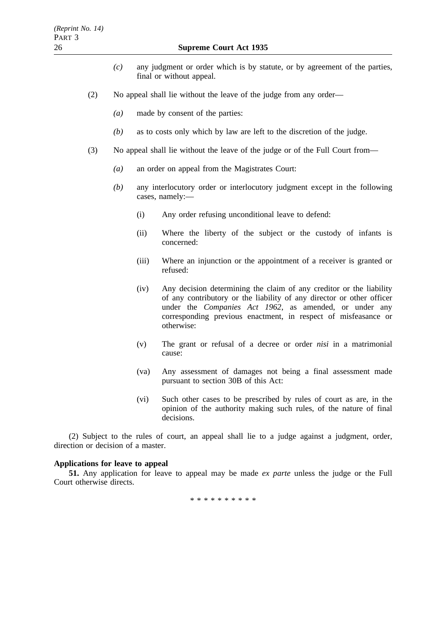- *(c)* any judgment or order which is by statute, or by agreement of the parties, final or without appeal.
- (2) No appeal shall lie without the leave of the judge from any order—
	- *(a)* made by consent of the parties:
	- *(b)* as to costs only which by law are left to the discretion of the judge.
- (3) No appeal shall lie without the leave of the judge or of the Full Court from—
	- *(a)* an order on appeal from the Magistrates Court:
	- *(b)* any interlocutory order or interlocutory judgment except in the following cases, namely:—
		- (i) Any order refusing unconditional leave to defend:
		- (ii) Where the liberty of the subject or the custody of infants is concerned:
		- (iii) Where an injunction or the appointment of a receiver is granted or refused:
		- (iv) Any decision determining the claim of any creditor or the liability of any contributory or the liability of any director or other officer under the *Companies Act 1962*, as amended, or under any corresponding previous enactment, in respect of misfeasance or otherwise:
		- (v) The grant or refusal of a decree or order *nisi* in a matrimonial cause:
		- (va) Any assessment of damages not being a final assessment made pursuant to section 30B of this Act:
		- (vi) Such other cases to be prescribed by rules of court as are, in the opinion of the authority making such rules, of the nature of final decisions.

(2) Subject to the rules of court, an appeal shall lie to a judge against a judgment, order, direction or decision of a master.

## **Applications for leave to appeal**

**51.** Any application for leave to appeal may be made *ex parte* unless the judge or the Full Court otherwise directs.

\*\*\*\*\*\*\*\*\*\*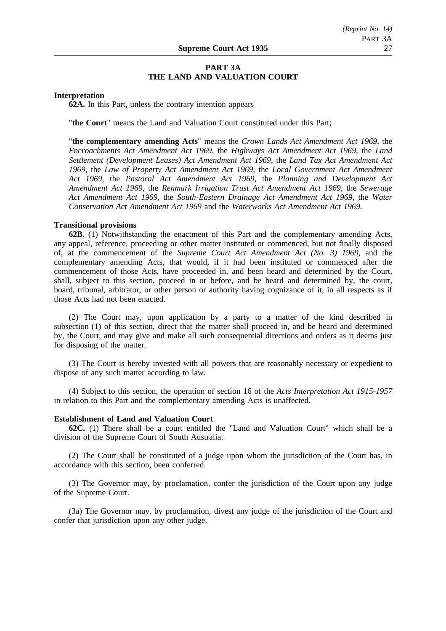## **PART 3A THE LAND AND VALUATION COURT**

#### **Interpretation**

**62A.** In this Part, unless the contrary intention appears—

"**the Court**" means the Land and Valuation Court constituted under this Part;

"**the complementary amending Acts**" means the *Crown Lands Act Amendment Act 1969*, the *Encroachments Act Amendment Act 1969*, the *Highways Act Amendment Act 1969*, the *Land Settlement (Development Leases) Act Amendment Act 1969*, the *Land Tax Act Amendment Act 1969*, the *Law of Property Act Amendment Act 1969*, the *Local Government Act Amendment Act 1969*, the *Pastoral Act Amendment Act 1969*, the *Planning and Development Act Amendment Act 1969*, the *Renmark Irrigation Trust Act Amendment Act 1969*, the *Sewerage Act Amendment Act 1969*, the *South-Eastern Drainage Act Amendment Act 1969*, the *Water Conservation Act Amendment Act 1969* and the *Waterworks Act Amendment Act 1969*.

#### **Transitional provisions**

**62B.** (1) Notwithstanding the enactment of this Part and the complementary amending Acts, any appeal, reference, proceeding or other matter instituted or commenced, but not finally disposed of, at the commencement of the *Supreme Court Act Amendment Act (No. 3) 1969*, and the complementary amending Acts, that would, if it had been instituted or commenced after the commencement of those Acts, have proceeded in, and been heard and determined by the Court, shall, subject to this section, proceed in or before, and be heard and determined by, the court, board, tribunal, arbitrator, or other person or authority having cognizance of it, in all respects as if those Acts had not been enacted.

(2) The Court may, upon application by a party to a matter of the kind described in subsection (1) of this section, direct that the matter shall proceed in, and be heard and determined by, the Court, and may give and make all such consequential directions and orders as it deems just for disposing of the matter.

(3) The Court is hereby invested with all powers that are reasonably necessary or expedient to dispose of any such matter according to law.

(4) Subject to this section, the operation of section 16 of the *Acts Interpretation Act 1915-1957* in relation to this Part and the complementary amending Acts is unaffected.

#### **Establishment of Land and Valuation Court**

**62C.** (1) There shall be a court entitled the "Land and Valuation Court" which shall be a division of the Supreme Court of South Australia.

(2) The Court shall be constituted of a judge upon whom the jurisdiction of the Court has, in accordance with this section, been conferred.

(3) The Governor may, by proclamation, confer the jurisdiction of the Court upon any judge of the Supreme Court.

(3a) The Governor may, by proclamation, divest any judge of the jurisdiction of the Court and confer that jurisdiction upon any other judge.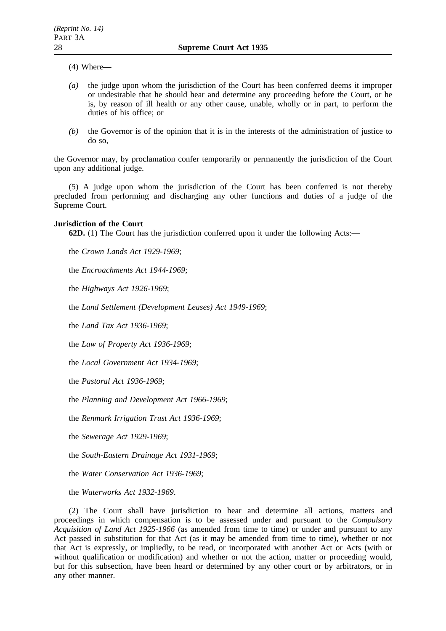- (4) Where—
- *(a)* the judge upon whom the jurisdiction of the Court has been conferred deems it improper or undesirable that he should hear and determine any proceeding before the Court, or he is, by reason of ill health or any other cause, unable, wholly or in part, to perform the duties of his office; or
- *(b)* the Governor is of the opinion that it is in the interests of the administration of justice to do so,

the Governor may, by proclamation confer temporarily or permanently the jurisdiction of the Court upon any additional judge.

(5) A judge upon whom the jurisdiction of the Court has been conferred is not thereby precluded from performing and discharging any other functions and duties of a judge of the Supreme Court.

#### **Jurisdiction of the Court**

**62D.** (1) The Court has the jurisdiction conferred upon it under the following Acts:—

the *Crown Lands Act 1929-1969*;

the *Encroachments Act 1944-1969*;

the *Highways Act 1926-1969*;

the *Land Settlement (Development Leases) Act 1949-1969*;

the *Land Tax Act 1936-1969*;

the *Law of Property Act 1936-1969*;

the *Local Government Act 1934-1969*;

the *Pastoral Act 1936-1969*;

the *Planning and Development Act 1966-1969*;

the *Renmark Irrigation Trust Act 1936-1969*;

the *Sewerage Act 1929-1969*;

the *South-Eastern Drainage Act 1931-1969*;

the *Water Conservation Act 1936-1969*;

the *Waterworks Act 1932-1969*.

(2) The Court shall have jurisdiction to hear and determine all actions, matters and proceedings in which compensation is to be assessed under and pursuant to the *Compulsory Acquisition of Land Act 1925-1966* (as amended from time to time) or under and pursuant to any Act passed in substitution for that Act (as it may be amended from time to time), whether or not that Act is expressly, or impliedly, to be read, or incorporated with another Act or Acts (with or without qualification or modification) and whether or not the action, matter or proceeding would, but for this subsection, have been heard or determined by any other court or by arbitrators, or in any other manner.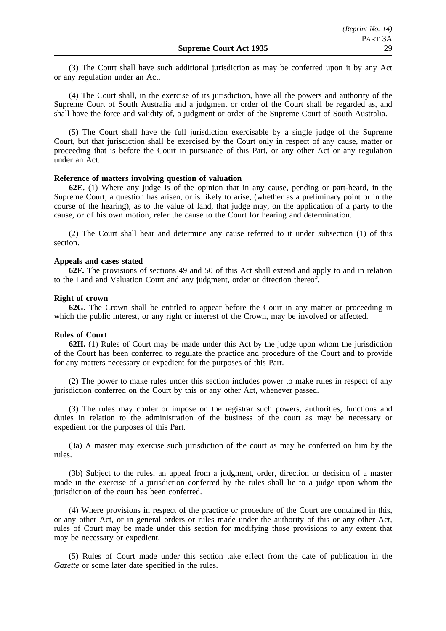(3) The Court shall have such additional jurisdiction as may be conferred upon it by any Act or any regulation under an Act.

(4) The Court shall, in the exercise of its jurisdiction, have all the powers and authority of the Supreme Court of South Australia and a judgment or order of the Court shall be regarded as, and shall have the force and validity of, a judgment or order of the Supreme Court of South Australia.

(5) The Court shall have the full jurisdiction exercisable by a single judge of the Supreme Court, but that jurisdiction shall be exercised by the Court only in respect of any cause, matter or proceeding that is before the Court in pursuance of this Part, or any other Act or any regulation under an Act.

## **Reference of matters involving question of valuation**

**62E.** (1) Where any judge is of the opinion that in any cause, pending or part-heard, in the Supreme Court, a question has arisen, or is likely to arise, (whether as a preliminary point or in the course of the hearing), as to the value of land, that judge may, on the application of a party to the cause, or of his own motion, refer the cause to the Court for hearing and determination.

(2) The Court shall hear and determine any cause referred to it under subsection (1) of this section.

#### **Appeals and cases stated**

**62F.** The provisions of sections 49 and 50 of this Act shall extend and apply to and in relation to the Land and Valuation Court and any judgment, order or direction thereof.

#### **Right of crown**

**62G.** The Crown shall be entitled to appear before the Court in any matter or proceeding in which the public interest, or any right or interest of the Crown, may be involved or affected.

#### **Rules of Court**

**62H.** (1) Rules of Court may be made under this Act by the judge upon whom the jurisdiction of the Court has been conferred to regulate the practice and procedure of the Court and to provide for any matters necessary or expedient for the purposes of this Part.

(2) The power to make rules under this section includes power to make rules in respect of any jurisdiction conferred on the Court by this or any other Act, whenever passed.

(3) The rules may confer or impose on the registrar such powers, authorities, functions and duties in relation to the administration of the business of the court as may be necessary or expedient for the purposes of this Part.

(3a) A master may exercise such jurisdiction of the court as may be conferred on him by the rules.

(3b) Subject to the rules, an appeal from a judgment, order, direction or decision of a master made in the exercise of a jurisdiction conferred by the rules shall lie to a judge upon whom the jurisdiction of the court has been conferred.

(4) Where provisions in respect of the practice or procedure of the Court are contained in this, or any other Act, or in general orders or rules made under the authority of this or any other Act, rules of Court may be made under this section for modifying those provisions to any extent that may be necessary or expedient.

(5) Rules of Court made under this section take effect from the date of publication in the *Gazette* or some later date specified in the rules.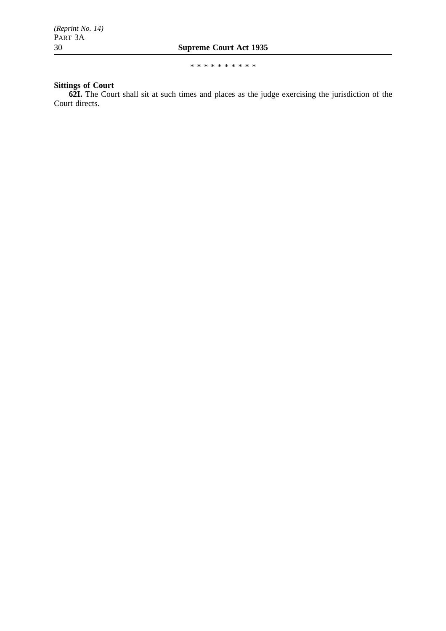\*\*\*\*\*\*\*\*\*\*

# **Sittings of Court**

**62I.** The Court shall sit at such times and places as the judge exercising the jurisdiction of the Court directs.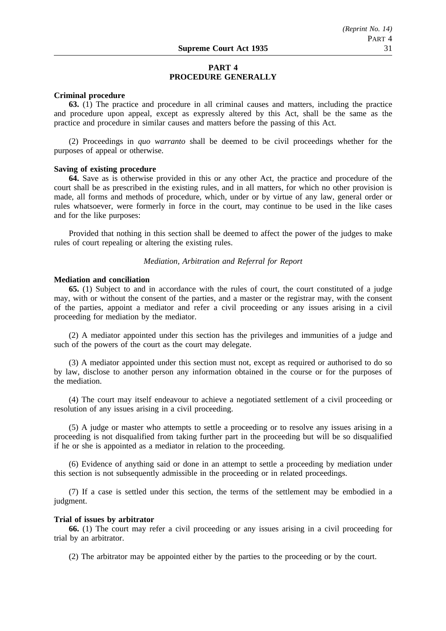## **PART 4 PROCEDURE GENERALLY**

### **Criminal procedure**

**63.** (1) The practice and procedure in all criminal causes and matters, including the practice and procedure upon appeal, except as expressly altered by this Act, shall be the same as the practice and procedure in similar causes and matters before the passing of this Act.

(2) Proceedings in *quo warranto* shall be deemed to be civil proceedings whether for the purposes of appeal or otherwise.

## **Saving of existing procedure**

**64.** Save as is otherwise provided in this or any other Act, the practice and procedure of the court shall be as prescribed in the existing rules, and in all matters, for which no other provision is made, all forms and methods of procedure, which, under or by virtue of any law, general order or rules whatsoever, were formerly in force in the court, may continue to be used in the like cases and for the like purposes:

Provided that nothing in this section shall be deemed to affect the power of the judges to make rules of court repealing or altering the existing rules.

*Mediation, Arbitration and Referral for Report*

#### **Mediation and conciliation**

**65.** (1) Subject to and in accordance with the rules of court, the court constituted of a judge may, with or without the consent of the parties, and a master or the registrar may, with the consent of the parties, appoint a mediator and refer a civil proceeding or any issues arising in a civil proceeding for mediation by the mediator.

(2) A mediator appointed under this section has the privileges and immunities of a judge and such of the powers of the court as the court may delegate.

(3) A mediator appointed under this section must not, except as required or authorised to do so by law, disclose to another person any information obtained in the course or for the purposes of the mediation.

(4) The court may itself endeavour to achieve a negotiated settlement of a civil proceeding or resolution of any issues arising in a civil proceeding.

(5) A judge or master who attempts to settle a proceeding or to resolve any issues arising in a proceeding is not disqualified from taking further part in the proceeding but will be so disqualified if he or she is appointed as a mediator in relation to the proceeding.

(6) Evidence of anything said or done in an attempt to settle a proceeding by mediation under this section is not subsequently admissible in the proceeding or in related proceedings.

(7) If a case is settled under this section, the terms of the settlement may be embodied in a judgment.

#### **Trial of issues by arbitrator**

**66.** (1) The court may refer a civil proceeding or any issues arising in a civil proceeding for trial by an arbitrator.

(2) The arbitrator may be appointed either by the parties to the proceeding or by the court.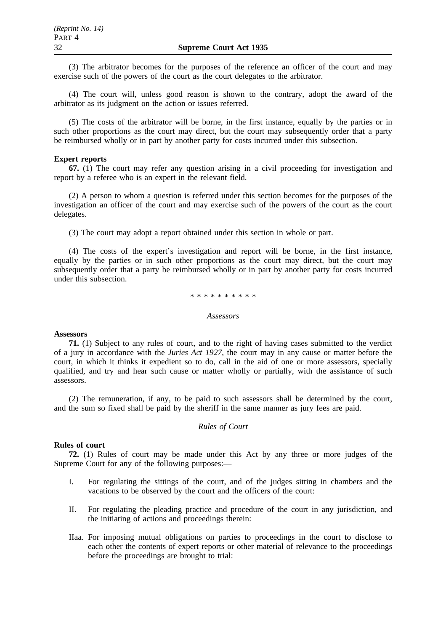(3) The arbitrator becomes for the purposes of the reference an officer of the court and may exercise such of the powers of the court as the court delegates to the arbitrator.

(4) The court will, unless good reason is shown to the contrary, adopt the award of the arbitrator as its judgment on the action or issues referred.

(5) The costs of the arbitrator will be borne, in the first instance, equally by the parties or in such other proportions as the court may direct, but the court may subsequently order that a party be reimbursed wholly or in part by another party for costs incurred under this subsection.

## **Expert reports**

**67.** (1) The court may refer any question arising in a civil proceeding for investigation and report by a referee who is an expert in the relevant field.

(2) A person to whom a question is referred under this section becomes for the purposes of the investigation an officer of the court and may exercise such of the powers of the court as the court delegates.

(3) The court may adopt a report obtained under this section in whole or part.

(4) The costs of the expert's investigation and report will be borne, in the first instance, equally by the parties or in such other proportions as the court may direct, but the court may subsequently order that a party be reimbursed wholly or in part by another party for costs incurred under this subsection.

#### \*\*\*\*\*\*\*\*\*\*

#### *Assessors*

#### **Assessors**

**71.** (1) Subject to any rules of court, and to the right of having cases submitted to the verdict of a jury in accordance with the *Juries Act 1927*, the court may in any cause or matter before the court, in which it thinks it expedient so to do, call in the aid of one or more assessors, specially qualified, and try and hear such cause or matter wholly or partially, with the assistance of such assessors.

(2) The remuneration, if any, to be paid to such assessors shall be determined by the court, and the sum so fixed shall be paid by the sheriff in the same manner as jury fees are paid.

## *Rules of Court*

#### **Rules of court**

**72.** (1) Rules of court may be made under this Act by any three or more judges of the Supreme Court for any of the following purposes:—

- I. For regulating the sittings of the court, and of the judges sitting in chambers and the vacations to be observed by the court and the officers of the court:
- II. For regulating the pleading practice and procedure of the court in any jurisdiction, and the initiating of actions and proceedings therein:
- IIaa. For imposing mutual obligations on parties to proceedings in the court to disclose to each other the contents of expert reports or other material of relevance to the proceedings before the proceedings are brought to trial: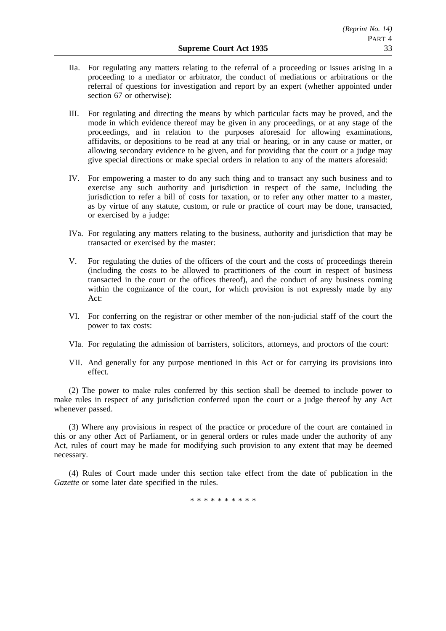- IIa. For regulating any matters relating to the referral of a proceeding or issues arising in a proceeding to a mediator or arbitrator, the conduct of mediations or arbitrations or the referral of questions for investigation and report by an expert (whether appointed under section 67 or otherwise):
- III. For regulating and directing the means by which particular facts may be proved, and the mode in which evidence thereof may be given in any proceedings, or at any stage of the proceedings, and in relation to the purposes aforesaid for allowing examinations, affidavits, or depositions to be read at any trial or hearing, or in any cause or matter, or allowing secondary evidence to be given, and for providing that the court or a judge may give special directions or make special orders in relation to any of the matters aforesaid:
- IV. For empowering a master to do any such thing and to transact any such business and to exercise any such authority and jurisdiction in respect of the same, including the jurisdiction to refer a bill of costs for taxation, or to refer any other matter to a master, as by virtue of any statute, custom, or rule or practice of court may be done, transacted, or exercised by a judge:
- IVa. For regulating any matters relating to the business, authority and jurisdiction that may be transacted or exercised by the master:
- V. For regulating the duties of the officers of the court and the costs of proceedings therein (including the costs to be allowed to practitioners of the court in respect of business transacted in the court or the offices thereof), and the conduct of any business coming within the cognizance of the court, for which provision is not expressly made by any Act:
- VI. For conferring on the registrar or other member of the non-judicial staff of the court the power to tax costs:
- VIa. For regulating the admission of barristers, solicitors, attorneys, and proctors of the court:
- VII. And generally for any purpose mentioned in this Act or for carrying its provisions into effect.

(2) The power to make rules conferred by this section shall be deemed to include power to make rules in respect of any jurisdiction conferred upon the court or a judge thereof by any Act whenever passed.

(3) Where any provisions in respect of the practice or procedure of the court are contained in this or any other Act of Parliament, or in general orders or rules made under the authority of any Act, rules of court may be made for modifying such provision to any extent that may be deemed necessary.

(4) Rules of Court made under this section take effect from the date of publication in the *Gazette* or some later date specified in the rules.

\*\*\*\*\*\*\*\*\*\*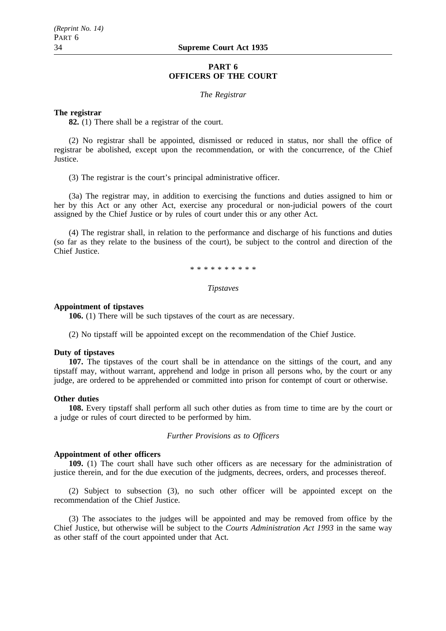## **PART 6 OFFICERS OF THE COURT**

#### *The Registrar*

#### **The registrar**

**82.** (1) There shall be a registrar of the court.

(2) No registrar shall be appointed, dismissed or reduced in status, nor shall the office of registrar be abolished, except upon the recommendation, or with the concurrence, of the Chief Justice.

(3) The registrar is the court's principal administrative officer.

(3a) The registrar may, in addition to exercising the functions and duties assigned to him or her by this Act or any other Act, exercise any procedural or non-judicial powers of the court assigned by the Chief Justice or by rules of court under this or any other Act.

(4) The registrar shall, in relation to the performance and discharge of his functions and duties (so far as they relate to the business of the court), be subject to the control and direction of the Chief Justice.

\*\*\*\*\*\*\*\*\*\*

#### *Tipstaves*

#### **Appointment of tipstaves**

**106.** (1) There will be such tipstaves of the court as are necessary.

(2) No tipstaff will be appointed except on the recommendation of the Chief Justice.

#### **Duty of tipstaves**

**107.** The tipstaves of the court shall be in attendance on the sittings of the court, and any tipstaff may, without warrant, apprehend and lodge in prison all persons who, by the court or any judge, are ordered to be apprehended or committed into prison for contempt of court or otherwise.

#### **Other duties**

**108.** Every tipstaff shall perform all such other duties as from time to time are by the court or a judge or rules of court directed to be performed by him.

*Further Provisions as to Officers*

#### **Appointment of other officers**

**109.** (1) The court shall have such other officers as are necessary for the administration of justice therein, and for the due execution of the judgments, decrees, orders, and processes thereof.

(2) Subject to subsection (3), no such other officer will be appointed except on the recommendation of the Chief Justice.

(3) The associates to the judges will be appointed and may be removed from office by the Chief Justice, but otherwise will be subject to the *Courts Administration Act 1993* in the same way as other staff of the court appointed under that Act.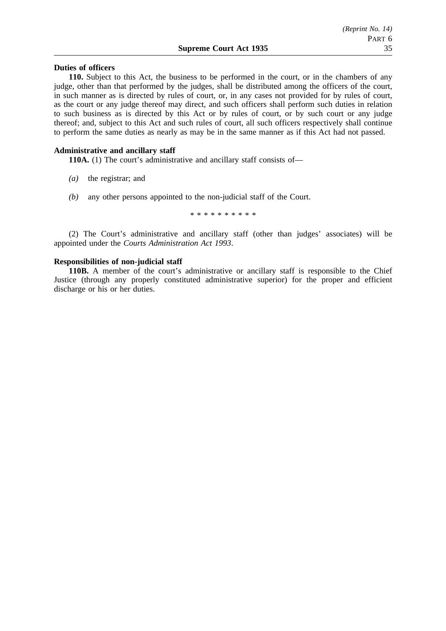## **Duties of officers**

**110.** Subject to this Act, the business to be performed in the court, or in the chambers of any judge, other than that performed by the judges, shall be distributed among the officers of the court, in such manner as is directed by rules of court, or, in any cases not provided for by rules of court, as the court or any judge thereof may direct, and such officers shall perform such duties in relation to such business as is directed by this Act or by rules of court, or by such court or any judge thereof; and, subject to this Act and such rules of court, all such officers respectively shall continue to perform the same duties as nearly as may be in the same manner as if this Act had not passed.

#### **Administrative and ancillary staff**

**110A.** (1) The court's administrative and ancillary staff consists of—

- *(a)* the registrar; and
- *(b)* any other persons appointed to the non-judicial staff of the Court.

\*\*\*\*\*\*\*\*\*\*

(2) The Court's administrative and ancillary staff (other than judges' associates) will be appointed under the *Courts Administration Act 1993*.

## **Responsibilities of non-judicial staff**

**110B.** A member of the court's administrative or ancillary staff is responsible to the Chief Justice (through any properly constituted administrative superior) for the proper and efficient discharge or his or her duties.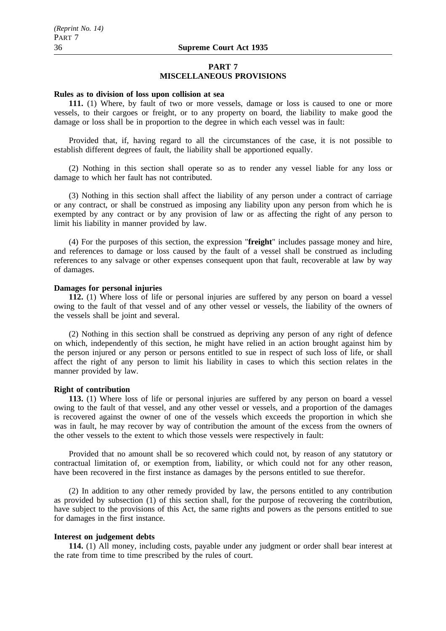## **PART 7 MISCELLANEOUS PROVISIONS**

#### **Rules as to division of loss upon collision at sea**

**111.** (1) Where, by fault of two or more vessels, damage or loss is caused to one or more vessels, to their cargoes or freight, or to any property on board, the liability to make good the damage or loss shall be in proportion to the degree in which each vessel was in fault:

Provided that, if, having regard to all the circumstances of the case, it is not possible to establish different degrees of fault, the liability shall be apportioned equally.

(2) Nothing in this section shall operate so as to render any vessel liable for any loss or damage to which her fault has not contributed.

(3) Nothing in this section shall affect the liability of any person under a contract of carriage or any contract, or shall be construed as imposing any liability upon any person from which he is exempted by any contract or by any provision of law or as affecting the right of any person to limit his liability in manner provided by law.

(4) For the purposes of this section, the expression "**freight**" includes passage money and hire, and references to damage or loss caused by the fault of a vessel shall be construed as including references to any salvage or other expenses consequent upon that fault, recoverable at law by way of damages.

## **Damages for personal injuries**

**112.** (1) Where loss of life or personal injuries are suffered by any person on board a vessel owing to the fault of that vessel and of any other vessel or vessels, the liability of the owners of the vessels shall be joint and several.

(2) Nothing in this section shall be construed as depriving any person of any right of defence on which, independently of this section, he might have relied in an action brought against him by the person injured or any person or persons entitled to sue in respect of such loss of life, or shall affect the right of any person to limit his liability in cases to which this section relates in the manner provided by law.

#### **Right of contribution**

**113.** (1) Where loss of life or personal injuries are suffered by any person on board a vessel owing to the fault of that vessel, and any other vessel or vessels, and a proportion of the damages is recovered against the owner of one of the vessels which exceeds the proportion in which she was in fault, he may recover by way of contribution the amount of the excess from the owners of the other vessels to the extent to which those vessels were respectively in fault:

Provided that no amount shall be so recovered which could not, by reason of any statutory or contractual limitation of, or exemption from, liability, or which could not for any other reason, have been recovered in the first instance as damages by the persons entitled to sue therefor.

(2) In addition to any other remedy provided by law, the persons entitled to any contribution as provided by subsection (1) of this section shall, for the purpose of recovering the contribution, have subject to the provisions of this Act, the same rights and powers as the persons entitled to sue for damages in the first instance.

#### **Interest on judgement debts**

**114.** (1) All money, including costs, payable under any judgment or order shall bear interest at the rate from time to time prescribed by the rules of court.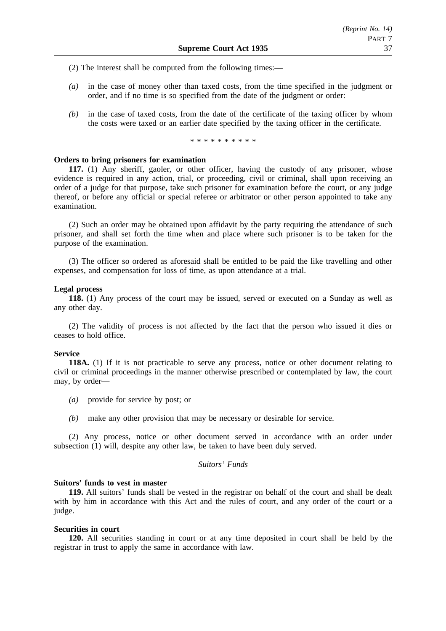- (2) The interest shall be computed from the following times:—
- *(a)* in the case of money other than taxed costs, from the time specified in the judgment or order, and if no time is so specified from the date of the judgment or order:
- *(b)* in the case of taxed costs, from the date of the certificate of the taxing officer by whom the costs were taxed or an earlier date specified by the taxing officer in the certificate.

\*\*\*\*\*\*\*\*\*\*

## **Orders to bring prisoners for examination**

**117.** (1) Any sheriff, gaoler, or other officer, having the custody of any prisoner, whose evidence is required in any action, trial, or proceeding, civil or criminal, shall upon receiving an order of a judge for that purpose, take such prisoner for examination before the court, or any judge thereof, or before any official or special referee or arbitrator or other person appointed to take any examination.

(2) Such an order may be obtained upon affidavit by the party requiring the attendance of such prisoner, and shall set forth the time when and place where such prisoner is to be taken for the purpose of the examination.

(3) The officer so ordered as aforesaid shall be entitled to be paid the like travelling and other expenses, and compensation for loss of time, as upon attendance at a trial.

#### **Legal process**

**118.** (1) Any process of the court may be issued, served or executed on a Sunday as well as any other day.

(2) The validity of process is not affected by the fact that the person who issued it dies or ceases to hold office.

#### **Service**

**118A.** (1) If it is not practicable to serve any process, notice or other document relating to civil or criminal proceedings in the manner otherwise prescribed or contemplated by law, the court may, by order—

- *(a)* provide for service by post; or
- *(b)* make any other provision that may be necessary or desirable for service.

(2) Any process, notice or other document served in accordance with an order under subsection (1) will, despite any other law, be taken to have been duly served.

## *Suitors' Funds*

## **Suitors' funds to vest in master**

**119.** All suitors' funds shall be vested in the registrar on behalf of the court and shall be dealt with by him in accordance with this Act and the rules of court, and any order of the court or a judge.

## **Securities in court**

**120.** All securities standing in court or at any time deposited in court shall be held by the registrar in trust to apply the same in accordance with law.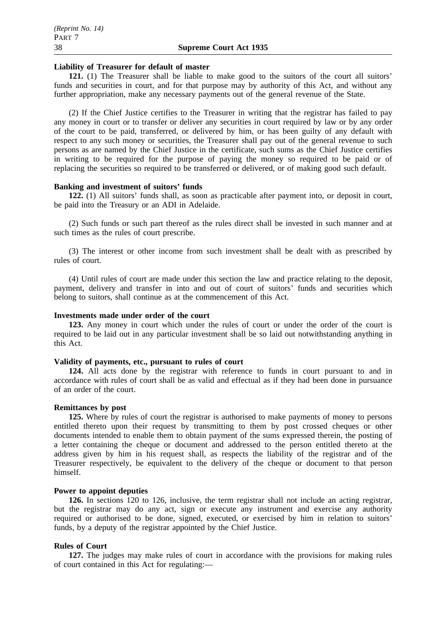#### **Liability of Treasurer for default of master**

121. (1) The Treasurer shall be liable to make good to the suitors of the court all suitors' funds and securities in court, and for that purpose may by authority of this Act, and without any further appropriation, make any necessary payments out of the general revenue of the State.

(2) If the Chief Justice certifies to the Treasurer in writing that the registrar has failed to pay any money in court or to transfer or deliver any securities in court required by law or by any order of the court to be paid, transferred, or delivered by him, or has been guilty of any default with respect to any such money or securities, the Treasurer shall pay out of the general revenue to such persons as are named by the Chief Justice in the certificate, such sums as the Chief Justice certifies in writing to be required for the purpose of paying the money so required to be paid or of replacing the securities so required to be transferred or delivered, or of making good such default.

## **Banking and investment of suitors' funds**

**122.** (1) All suitors' funds shall, as soon as practicable after payment into, or deposit in court, be paid into the Treasury or an ADI in Adelaide.

(2) Such funds or such part thereof as the rules direct shall be invested in such manner and at such times as the rules of court prescribe.

(3) The interest or other income from such investment shall be dealt with as prescribed by rules of court.

(4) Until rules of court are made under this section the law and practice relating to the deposit, payment, delivery and transfer in into and out of court of suitors' funds and securities which belong to suitors, shall continue as at the commencement of this Act.

## **Investments made under order of the court**

**123.** Any money in court which under the rules of court or under the order of the court is required to be laid out in any particular investment shall be so laid out notwithstanding anything in this Act.

## **Validity of payments, etc., pursuant to rules of court**

**124.** All acts done by the registrar with reference to funds in court pursuant to and in accordance with rules of court shall be as valid and effectual as if they had been done in pursuance of an order of the court.

#### **Remittances by post**

**125.** Where by rules of court the registrar is authorised to make payments of money to persons entitled thereto upon their request by transmitting to them by post crossed cheques or other documents intended to enable them to obtain payment of the sums expressed therein, the posting of a letter containing the cheque or document and addressed to the person entitled thereto at the address given by him in his request shall, as respects the liability of the registrar and of the Treasurer respectively, be equivalent to the delivery of the cheque or document to that person himself.

## **Power to appoint deputies**

**126.** In sections 120 to 126, inclusive, the term registrar shall not include an acting registrar, but the registrar may do any act, sign or execute any instrument and exercise any authority required or authorised to be done, signed, executed, or exercised by him in relation to suitors' funds, by a deputy of the registrar appointed by the Chief Justice.

## **Rules of Court**

**127.** The judges may make rules of court in accordance with the provisions for making rules of court contained in this Act for regulating:—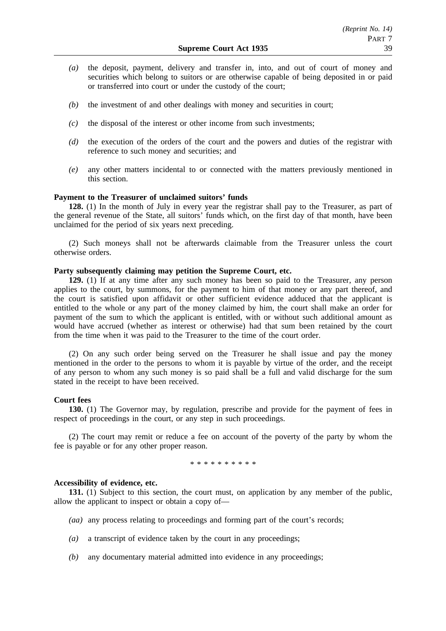- *(a)* the deposit, payment, delivery and transfer in, into, and out of court of money and securities which belong to suitors or are otherwise capable of being deposited in or paid or transferred into court or under the custody of the court;
- *(b)* the investment of and other dealings with money and securities in court;
- *(c)* the disposal of the interest or other income from such investments;
- *(d)* the execution of the orders of the court and the powers and duties of the registrar with reference to such money and securities; and
- *(e)* any other matters incidental to or connected with the matters previously mentioned in this section.

## **Payment to the Treasurer of unclaimed suitors' funds**

**128.** (1) In the month of July in every year the registrar shall pay to the Treasurer, as part of the general revenue of the State, all suitors' funds which, on the first day of that month, have been unclaimed for the period of six years next preceding.

(2) Such moneys shall not be afterwards claimable from the Treasurer unless the court otherwise orders.

#### **Party subsequently claiming may petition the Supreme Court, etc.**

**129.** (1) If at any time after any such money has been so paid to the Treasurer, any person applies to the court, by summons, for the payment to him of that money or any part thereof, and the court is satisfied upon affidavit or other sufficient evidence adduced that the applicant is entitled to the whole or any part of the money claimed by him, the court shall make an order for payment of the sum to which the applicant is entitled, with or without such additional amount as would have accrued (whether as interest or otherwise) had that sum been retained by the court from the time when it was paid to the Treasurer to the time of the court order.

(2) On any such order being served on the Treasurer he shall issue and pay the money mentioned in the order to the persons to whom it is payable by virtue of the order, and the receipt of any person to whom any such money is so paid shall be a full and valid discharge for the sum stated in the receipt to have been received.

## **Court fees**

**130.** (1) The Governor may, by regulation, prescribe and provide for the payment of fees in respect of proceedings in the court, or any step in such proceedings.

(2) The court may remit or reduce a fee on account of the poverty of the party by whom the fee is payable or for any other proper reason.

\*\*\*\*\*\*\*\*\*\*

#### **Accessibility of evidence, etc.**

**131.** (1) Subject to this section, the court must, on application by any member of the public, allow the applicant to inspect or obtain a copy of—

- *(aa)* any process relating to proceedings and forming part of the court's records;
- *(a)* a transcript of evidence taken by the court in any proceedings;
- *(b)* any documentary material admitted into evidence in any proceedings;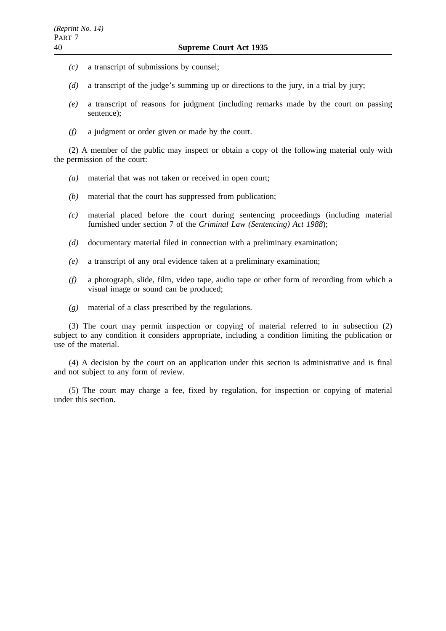- *(c)* a transcript of submissions by counsel;
- *(d)* a transcript of the judge's summing up or directions to the jury, in a trial by jury;
- *(e)* a transcript of reasons for judgment (including remarks made by the court on passing sentence);
- *(f)* a judgment or order given or made by the court.

(2) A member of the public may inspect or obtain a copy of the following material only with the permission of the court:

- *(a)* material that was not taken or received in open court;
- *(b)* material that the court has suppressed from publication;
- *(c)* material placed before the court during sentencing proceedings (including material furnished under section 7 of the *Criminal Law (Sentencing) Act 1988*);
- *(d)* documentary material filed in connection with a preliminary examination;
- *(e)* a transcript of any oral evidence taken at a preliminary examination;
- *(f)* a photograph, slide, film, video tape, audio tape or other form of recording from which a visual image or sound can be produced;
- *(g)* material of a class prescribed by the regulations.

(3) The court may permit inspection or copying of material referred to in subsection (2) subject to any condition it considers appropriate, including a condition limiting the publication or use of the material.

(4) A decision by the court on an application under this section is administrative and is final and not subject to any form of review.

(5) The court may charge a fee, fixed by regulation, for inspection or copying of material under this section.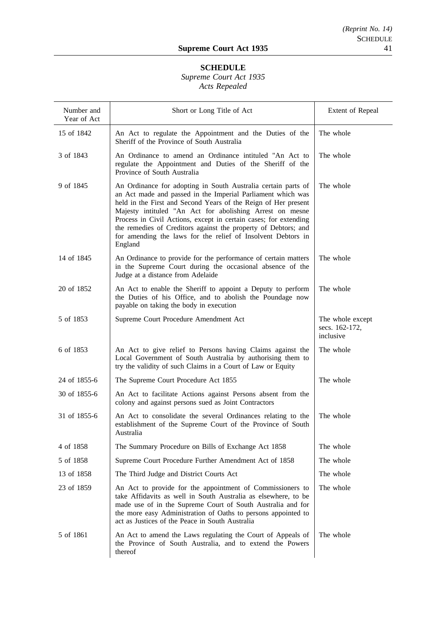# **SCHEDULE**

## *Supreme Court Act 1935 Acts Repealed*

| Number and<br>Year of Act | Short or Long Title of Act                                                                                                                                                                                                                                                                                                                                                                                                                                                  | Extent of Repeal                                |
|---------------------------|-----------------------------------------------------------------------------------------------------------------------------------------------------------------------------------------------------------------------------------------------------------------------------------------------------------------------------------------------------------------------------------------------------------------------------------------------------------------------------|-------------------------------------------------|
| 15 of 1842                | An Act to regulate the Appointment and the Duties of the<br>Sheriff of the Province of South Australia                                                                                                                                                                                                                                                                                                                                                                      | The whole                                       |
| 3 of 1843                 | An Ordinance to amend an Ordinance intituled "An Act to<br>regulate the Appointment and Duties of the Sheriff of the<br>Province of South Australia                                                                                                                                                                                                                                                                                                                         | The whole                                       |
| 9 of 1845                 | An Ordinance for adopting in South Australia certain parts of<br>an Act made and passed in the Imperial Parliament which was<br>held in the First and Second Years of the Reign of Her present<br>Majesty intituled "An Act for abolishing Arrest on mesne<br>Process in Civil Actions, except in certain cases; for extending<br>the remedies of Creditors against the property of Debtors; and<br>for amending the laws for the relief of Insolvent Debtors in<br>England | The whole                                       |
| 14 of 1845                | An Ordinance to provide for the performance of certain matters<br>in the Supreme Court during the occasional absence of the<br>Judge at a distance from Adelaide                                                                                                                                                                                                                                                                                                            | The whole                                       |
| 20 of 1852                | An Act to enable the Sheriff to appoint a Deputy to perform<br>the Duties of his Office, and to abolish the Poundage now<br>payable on taking the body in execution                                                                                                                                                                                                                                                                                                         | The whole                                       |
| 5 of 1853                 | Supreme Court Procedure Amendment Act                                                                                                                                                                                                                                                                                                                                                                                                                                       | The whole except<br>secs. 162-172,<br>inclusive |
| 6 of 1853                 | An Act to give relief to Persons having Claims against the<br>Local Government of South Australia by authorising them to<br>try the validity of such Claims in a Court of Law or Equity                                                                                                                                                                                                                                                                                     | The whole                                       |
| 24 of 1855-6              | The Supreme Court Procedure Act 1855                                                                                                                                                                                                                                                                                                                                                                                                                                        | The whole                                       |
| 30 of 1855-6              | An Act to facilitate Actions against Persons absent from the<br>colony and against persons sued as Joint Contractors                                                                                                                                                                                                                                                                                                                                                        |                                                 |
| 31 of 1855-6              | An Act to consolidate the several Ordinances relating to the<br>establishment of the Supreme Court of the Province of South<br>Australia                                                                                                                                                                                                                                                                                                                                    | The whole                                       |
| 4 of 1858                 | The Summary Procedure on Bills of Exchange Act 1858                                                                                                                                                                                                                                                                                                                                                                                                                         | The whole                                       |
| 5 of 1858                 | Supreme Court Procedure Further Amendment Act of 1858                                                                                                                                                                                                                                                                                                                                                                                                                       | The whole                                       |
| 13 of 1858                | The Third Judge and District Courts Act                                                                                                                                                                                                                                                                                                                                                                                                                                     | The whole                                       |
| 23 of 1859                | An Act to provide for the appointment of Commissioners to<br>take Affidavits as well in South Australia as elsewhere, to be<br>made use of in the Supreme Court of South Australia and for<br>the more easy Administration of Oaths to persons appointed to<br>act as Justices of the Peace in South Australia                                                                                                                                                              | The whole                                       |
| 5 of 1861                 | An Act to amend the Laws regulating the Court of Appeals of<br>the Province of South Australia, and to extend the Powers<br>thereof                                                                                                                                                                                                                                                                                                                                         | The whole                                       |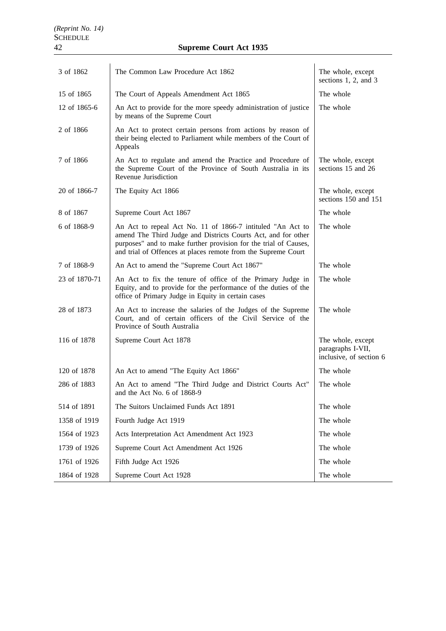| 3 of 1862     | The Common Law Procedure Act 1862                                                                                                                                                                                                                                | The whole, except<br>sections 1, 2, and 3                         |
|---------------|------------------------------------------------------------------------------------------------------------------------------------------------------------------------------------------------------------------------------------------------------------------|-------------------------------------------------------------------|
| 15 of 1865    | The Court of Appeals Amendment Act 1865                                                                                                                                                                                                                          | The whole                                                         |
| 12 of 1865-6  | An Act to provide for the more speedy administration of justice<br>by means of the Supreme Court                                                                                                                                                                 | The whole                                                         |
| 2 of 1866     | An Act to protect certain persons from actions by reason of<br>their being elected to Parliament while members of the Court of<br>Appeals                                                                                                                        |                                                                   |
| 7 of 1866     | An Act to regulate and amend the Practice and Procedure of<br>the Supreme Court of the Province of South Australia in its<br>Revenue Jurisdiction                                                                                                                | The whole, except<br>sections 15 and 26                           |
| 20 of 1866-7  | The Equity Act 1866                                                                                                                                                                                                                                              | The whole, except<br>sections 150 and 151                         |
| 8 of 1867     | Supreme Court Act 1867                                                                                                                                                                                                                                           | The whole                                                         |
| 6 of 1868-9   | An Act to repeal Act No. 11 of 1866-7 intituled "An Act to<br>amend The Third Judge and Districts Courts Act, and for other<br>purposes" and to make further provision for the trial of Causes,<br>and trial of Offences at places remote from the Supreme Court | The whole                                                         |
| 7 of 1868-9   | An Act to amend the "Supreme Court Act 1867"                                                                                                                                                                                                                     | The whole                                                         |
| 23 of 1870-71 | An Act to fix the tenure of office of the Primary Judge in<br>Equity, and to provide for the performance of the duties of the<br>office of Primary Judge in Equity in certain cases                                                                              | The whole                                                         |
| 28 of 1873    | An Act to increase the salaries of the Judges of the Supreme<br>Court, and of certain officers of the Civil Service of the<br>Province of South Australia                                                                                                        | The whole                                                         |
| 116 of 1878   | Supreme Court Act 1878                                                                                                                                                                                                                                           | The whole, except<br>paragraphs I-VII,<br>inclusive, of section 6 |
| 120 of 1878   | An Act to amend "The Equity Act 1866"                                                                                                                                                                                                                            | The whole                                                         |
| 286 of 1883   | An Act to amend "The Third Judge and District Courts Act"<br>and the Act No. 6 of 1868-9                                                                                                                                                                         | The whole                                                         |
| 514 of 1891   | The Suitors Unclaimed Funds Act 1891                                                                                                                                                                                                                             | The whole                                                         |
| 1358 of 1919  | Fourth Judge Act 1919                                                                                                                                                                                                                                            | The whole                                                         |
| 1564 of 1923  | Acts Interpretation Act Amendment Act 1923                                                                                                                                                                                                                       | The whole                                                         |
| 1739 of 1926  | Supreme Court Act Amendment Act 1926                                                                                                                                                                                                                             | The whole                                                         |
| 1761 of 1926  | Fifth Judge Act 1926                                                                                                                                                                                                                                             | The whole                                                         |
| 1864 of 1928  | Supreme Court Act 1928                                                                                                                                                                                                                                           | The whole                                                         |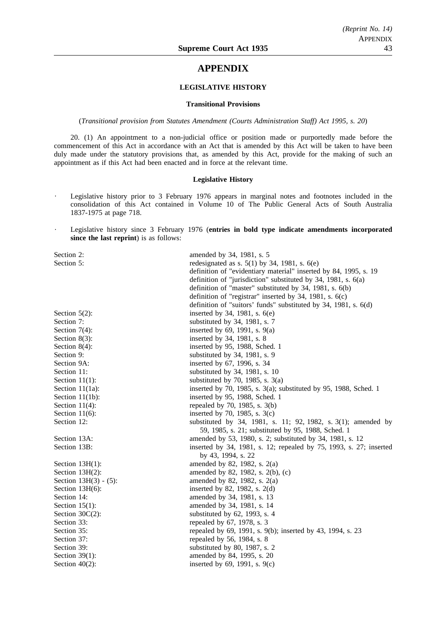## **APPENDIX**

## **LEGISLATIVE HISTORY**

#### **Transitional Provisions**

(*Transitional provision from Statutes Amendment (Courts Administration Staff) Act 1995, s. 20*)

20. (1) An appointment to a non-judicial office or position made or purportedly made before the commencement of this Act in accordance with an Act that is amended by this Act will be taken to have been duly made under the statutory provisions that, as amended by this Act, provide for the making of such an appointment as if this Act had been enacted and in force at the relevant time.

#### **Legislative History**

- Legislative history prior to 3 February 1976 appears in marginal notes and footnotes included in the consolidation of this Act contained in Volume 10 of The Public General Acts of South Australia 1837-1975 at page 718.
- Legislative history since 3 February 1976 (**entries in bold type indicate amendments incorporated since the last reprint**) is as follows:

| Section 2:               | amended by 34, 1981, s. 5                                           |
|--------------------------|---------------------------------------------------------------------|
| Section 5:               | redesignated as s. $5(1)$ by 34, 1981, s. $6(e)$                    |
|                          | definition of "evidentiary material" inserted by 84, 1995, s. 19    |
|                          | definition of "jurisdiction" substituted by 34, 1981, s. $6(a)$     |
|                          | definition of "master" substituted by 34, 1981, s. 6(b)             |
|                          | definition of "registrar" inserted by 34, 1981, s. 6(c)             |
|                          | definition of "suitors' funds" substituted by 34, 1981, s. 6(d)     |
| Section $5(2)$ :         | inserted by 34, 1981, s. 6(e)                                       |
| Section 7:               | substituted by 34, 1981, s. 7                                       |
| Section $7(4)$ :         | inserted by $69$ , 1991, s. $9(a)$                                  |
| Section $8(3)$ :         | inserted by 34, 1981, s. 8                                          |
| Section $8(4)$ :         | inserted by 95, 1988, Sched. 1                                      |
| Section 9:               | substituted by 34, 1981, s. 9                                       |
| Section 9A:              | inserted by 67, 1996, s. 34                                         |
| Section 11:              | substituted by 34, 1981, s. 10                                      |
| Section $11(1)$ :        | substituted by 70, 1985, s. $3(a)$                                  |
| Section $11(1a)$ :       | inserted by 70, 1985, s. $3(a)$ ; substituted by 95, 1988, Sched. 1 |
| Section $11(1b)$ :       | inserted by 95, 1988, Sched. 1                                      |
| Section $11(4)$ :        | repealed by 70, 1985, s. 3(b)                                       |
| Section $11(6)$ :        | inserted by 70, 1985, s. $3(c)$                                     |
| Section 12:              | substituted by 34, 1981, s. 11; 92, 1982, s. 3(1); amended by       |
|                          | 59, 1985, s. 21; substituted by 95, 1988, Sched. 1                  |
| Section 13A:             | amended by 53, 1980, s. 2; substituted by 34, 1981, s. 12           |
| Section 13B:             | inserted by 34, 1981, s. 12; repealed by 75, 1993, s. 27; inserted  |
|                          | by 43, 1994, s. 22                                                  |
| Section $13H(1)$ :       | amended by 82, 1982, s. 2(a)                                        |
| Section $13H(2)$ :       | amended by 82, 1982, s. 2(b), (c)                                   |
| Section $13H(3) - (5)$ : | amended by 82, 1982, s. 2(a)                                        |
| Section $13H(6)$ :       | inserted by 82, 1982, s. $2(d)$                                     |
| Section 14:              | amended by 34, 1981, s. 13                                          |
| Section $15(1)$ :        | amended by 34, 1981, s. 14                                          |
| Section $30C(2)$ :       | substituted by 62, 1993, s. 4                                       |
| Section 33:              | repealed by 67, 1978, s. 3                                          |
| Section 35:              | repealed by 69, 1991, s. 9(b); inserted by 43, 1994, s. 23          |
| Section 37:              | repealed by 56, 1984, s. 8                                          |
| Section 39:              | substituted by 80, 1987, s. 2                                       |
| Section $39(1)$ :        | amended by 84, 1995, s. 20                                          |
| Section $40(2)$ :        | inserted by $69$ , 1991, s. $9(c)$                                  |
|                          |                                                                     |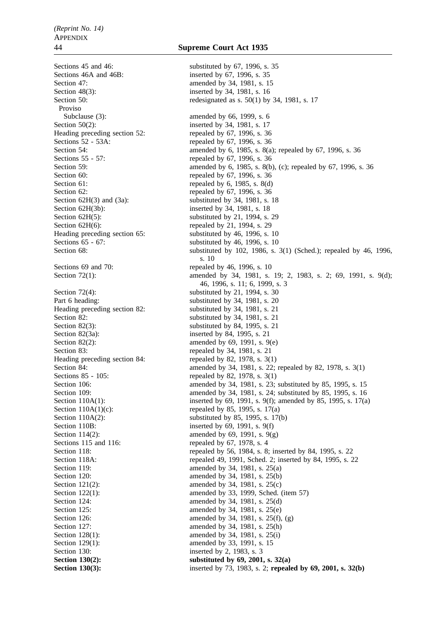Sections 45 and 46: substituted by 67, 1996, s. 35<br>Sections 46A and 46B: substituted by 67, 1996, s. 35 Section 47: **amended** by 34, 1981, s. 15 Section 48(3): inserted by 34, 1981, s. 16 Proviso Subclause (3): amended by 66, 1999, s. 6 Section 50(2): inserted by 34, 1981, s. 17 Heading preceding section 52: repealed by 67, 1996, s. 36 Sections 52 - 53A: repealed by 67, 1996, s. 36 Sections 55 - 57: repealed by 67, 1996, s. 36 Section 60: repealed by 67, 1996, s. 36 Section 61: repealed by 6, 1985, s. 8(d) Section 62: repealed by 67, 1996, s. 36 Section 62H(3) and (3a): substituted by 34, 1981, s. 18 Section 62H(3b): inserted by 34, 1981, s. 18 Section 62H(5): substituted by 21, 1994, s. 29 Section 62H(6): repealed by 21, 1994, s. 29 Heading preceding section 65: substituted by 46, 1996, s. 10<br>Sections 65 - 67: substituted by 46, 1996, s. 10 Sections 69 and 70: repealed by 46, 1996, s. 10 Section  $72(4)$ : substituted by 21, 1994, s. 30 Part 6 heading: substituted by 34, 1981, s. 20 Heading preceding section 82: substituted by 34, 1981, s. 21 Section 82: substituted by 34, 1981, s. 21 Section 82(3): substituted by 84, 1995, s. 21 Section 82(3a): inserted by 84, 1995, s. 21 Section 82(2): amended by 69, 1991, s. 9(e) Section 83: repealed by 34, 1981, s. 21 Heading preceding section 84: repealed by 82, 1978, s. 3(1) Sections 85 - 105: repealed by 82, 1978, s. 3(1) Section  $110A(1)(c)$ : repealed by 85, 1995, s. 17(a) Section 110B: inserted by 69, 1991, s. 9(f) Section 114(2): amended by 69, 1991, s.  $9(g)$ Sections 115 and 116: repealed by 67, 1978, s. 4 Section 119: **amended** by 34, 1981, s. 25(a) Section 120: **amended** by 34, 1981, s. 25(b) Section 121(2): amended by 34, 1981, s. 25(c) Section 124: **amended** by 34, 1981, s. 25(d) Section 125: **amended** by 34, 1981, s. 25(e) Section 127: **amended** by 34, 1981, s. 25(h) Section 128(1): amended by 34, 1981, s. 25(i) Section 129(1): amended by 33, 1991, s. 15 Section 130: inserted by 2, 1983, s. 3

## 44 **Supreme Court Act 1935**

inserted by 67, 1996, s. 35 Section 50: redesignated as s. 50(1) by 34, 1981, s. 17 Section 54: **amended** by 6, 1985, s. 8(a); repealed by 67, 1996, s. 36 Section 59: **amended** by 6, 1985, s. 8(b), (c); repealed by 67, 1996, s. 36 substituted by  $46$ , 1996, s. 10 Section 68: substituted by 102, 1986, s. 3(1) (Sched.); repealed by 46, 1996, s. 10 Section 72(1): amended by 34, 1981, s. 19; 2, 1983, s. 2; 69, 1991, s. 9(d); 46, 1996, s. 11; 6, 1999, s. 3 Section 84: **amended** by 34, 1981, s. 22; repealed by 82, 1978, s. 3(1) Section 106: **amended** by 34, 1981, s. 23; substituted by 85, 1995, s. 15 Section 109: **amended** by 34, 1981, s. 24; substituted by 85, 1995, s. 16 Section 110A(1): inserted by 69, 1991, s. 9(f); amended by 85, 1995, s. 17(a) Section 110A(2): substituted by 85, 1995, s. 17(b) Section 118: repealed by 56, 1984, s. 8; inserted by 84, 1995, s. 22 Section 118A: repealed 49, 1991, Sched. 2; inserted by 84, 1995, s. 22 Section 122(1): amended by 33, 1999, Sched. (item 57) Section 126: amended by 34, 1981, s. 25(f), (g) **Section 130(2):** substituted by 69, 2001, s. 32(a) **Section 130(3):** inserted by 73, 1983, s. 2; **repealed by 69, 2001, s. 32(b)**